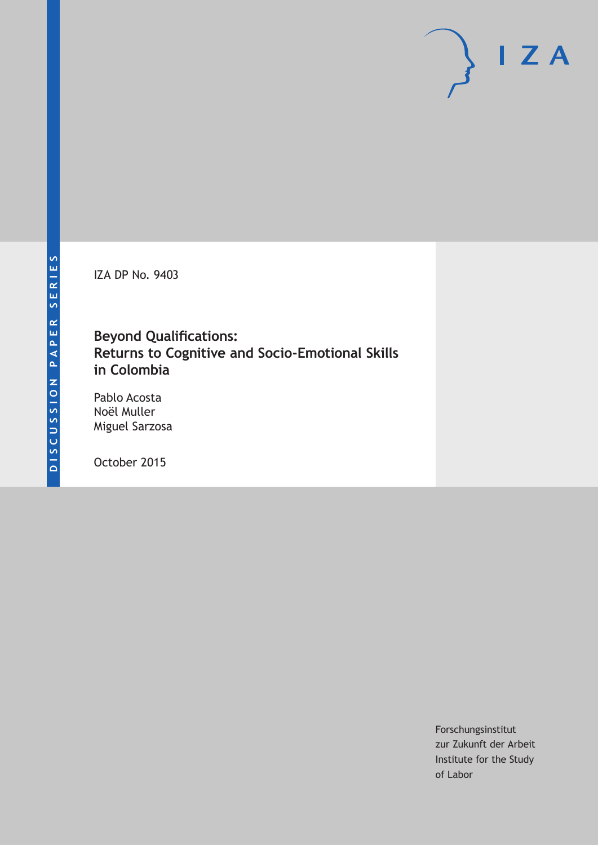IZA DP No. 9403

# **Beyond Qualifications: Returns to Cognitive and Socio-Emotional Skills in Colombia**

Pablo Acosta Noël Muller Miguel Sarzosa

October 2015

Forschungsinstitut zur Zukunft der Arbeit Institute for the Study of Labor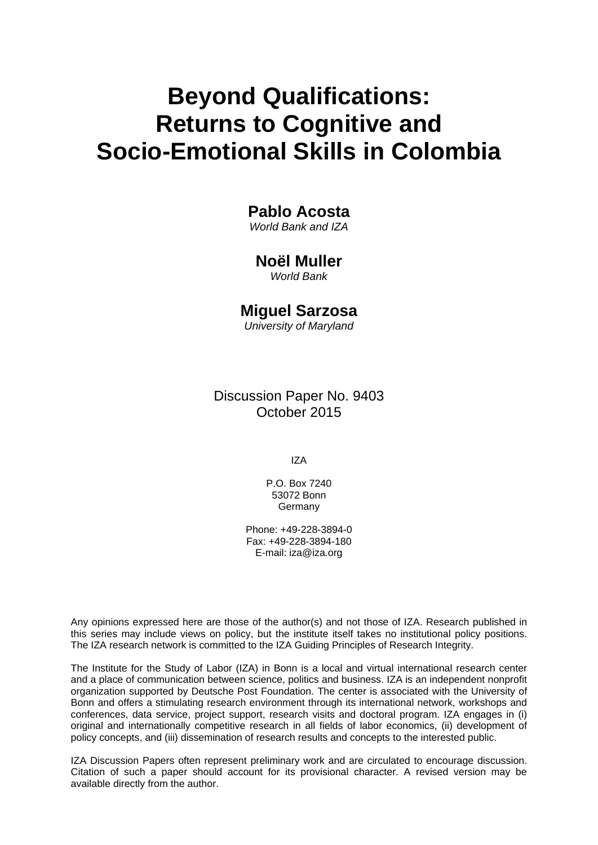# **Beyond Qualifications: Returns to Cognitive and Socio-Emotional Skills in Colombia**

# **Pablo Acosta**

*World Bank and IZA* 

# **Noël Muller**

*World Bank* 

# **Miguel Sarzosa**

*University of Maryland*

Discussion Paper No. 9403 October 2015

IZA

P.O. Box 7240 53072 Bonn Germany

Phone: +49-228-3894-0 Fax: +49-228-3894-180 E-mail: iza@iza.org

Any opinions expressed here are those of the author(s) and not those of IZA. Research published in this series may include views on policy, but the institute itself takes no institutional policy positions. The IZA research network is committed to the IZA Guiding Principles of Research Integrity.

The Institute for the Study of Labor (IZA) in Bonn is a local and virtual international research center and a place of communication between science, politics and business. IZA is an independent nonprofit organization supported by Deutsche Post Foundation. The center is associated with the University of Bonn and offers a stimulating research environment through its international network, workshops and conferences, data service, project support, research visits and doctoral program. IZA engages in (i) original and internationally competitive research in all fields of labor economics, (ii) development of policy concepts, and (iii) dissemination of research results and concepts to the interested public.

IZA Discussion Papers often represent preliminary work and are circulated to encourage discussion. Citation of such a paper should account for its provisional character. A revised version may be available directly from the author.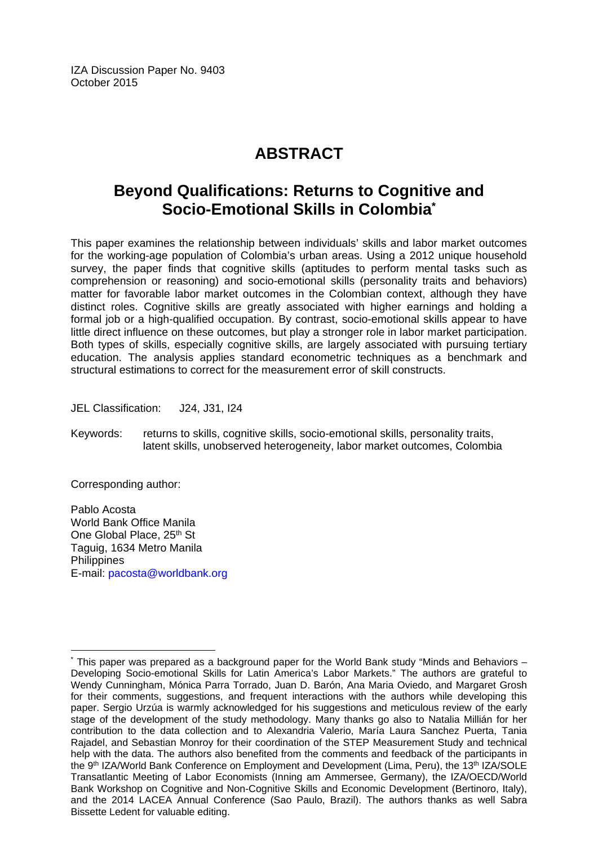IZA Discussion Paper No. 9403 October 2015

# **ABSTRACT**

# **Beyond Qualifications: Returns to Cognitive and Socio-Emotional Skills in Colombia\***

This paper examines the relationship between individuals' skills and labor market outcomes for the working-age population of Colombia's urban areas. Using a 2012 unique household survey, the paper finds that cognitive skills (aptitudes to perform mental tasks such as comprehension or reasoning) and socio-emotional skills (personality traits and behaviors) matter for favorable labor market outcomes in the Colombian context, although they have distinct roles. Cognitive skills are greatly associated with higher earnings and holding a formal job or a high-qualified occupation. By contrast, socio-emotional skills appear to have little direct influence on these outcomes, but play a stronger role in labor market participation. Both types of skills, especially cognitive skills, are largely associated with pursuing tertiary education. The analysis applies standard econometric techniques as a benchmark and structural estimations to correct for the measurement error of skill constructs.

JEL Classification: J24, J31, I24

Keywords: returns to skills, cognitive skills, socio-emotional skills, personality traits, latent skills, unobserved heterogeneity, labor market outcomes, Colombia

Corresponding author:

Pablo Acosta World Bank Office Manila One Global Place, 25<sup>th</sup> St Taguig, 1634 Metro Manila **Philippines** E-mail: pacosta@worldbank.org

 $\overline{\phantom{a}}$ \* This paper was prepared as a background paper for the World Bank study "Minds and Behaviors – Developing Socio-emotional Skills for Latin America's Labor Markets." The authors are grateful to Wendy Cunningham, Mónica Parra Torrado, Juan D. Barón, Ana Maria Oviedo, and Margaret Grosh for their comments, suggestions, and frequent interactions with the authors while developing this paper. Sergio Urzúa is warmly acknowledged for his suggestions and meticulous review of the early stage of the development of the study methodology. Many thanks go also to Natalia Millián for her contribution to the data collection and to Alexandria Valerio, María Laura Sanchez Puerta, Tania Rajadel, and Sebastian Monroy for their coordination of the STEP Measurement Study and technical help with the data. The authors also benefited from the comments and feedback of the participants in the 9<sup>th</sup> IZA/World Bank Conference on Employment and Development (Lima, Peru), the 13<sup>th</sup> IZA/SOLE Transatlantic Meeting of Labor Economists (Inning am Ammersee, Germany), the IZA/OECD/World Bank Workshop on Cognitive and Non-Cognitive Skills and Economic Development (Bertinoro, Italy), and the 2014 LACEA Annual Conference (Sao Paulo, Brazil). The authors thanks as well Sabra Bissette Ledent for valuable editing.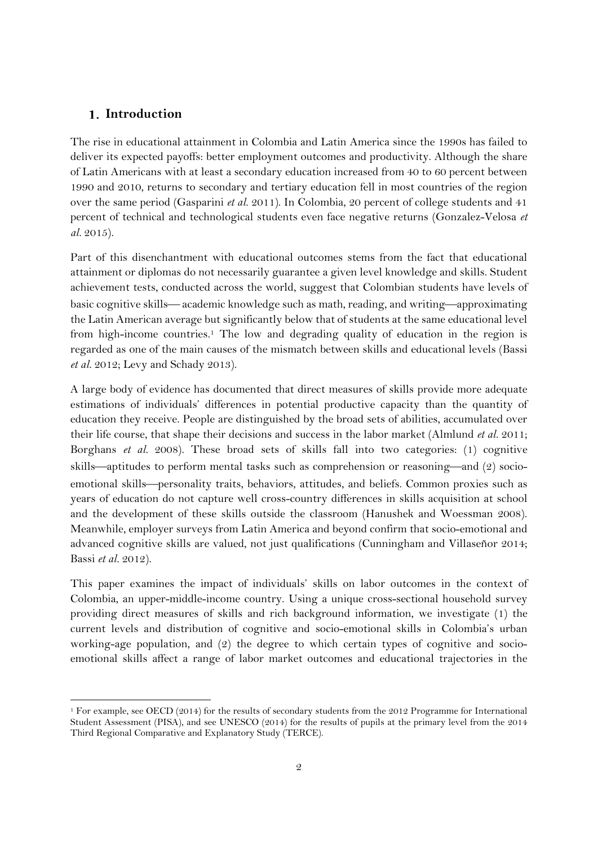## **Introduction**

-

The rise in educational attainment in Colombia and Latin America since the 1990s has failed to deliver its expected payoffs: better employment outcomes and productivity. Although the share of Latin Americans with at least a secondary education increased from 40 to 60 percent between 1990 and 2010, returns to secondary and tertiary education fell in most countries of the region over the same period (Gasparini *et al.* 2011). In Colombia, 20 percent of college students and 41 percent of technical and technological students even face negative returns (Gonzalez-Velosa *et al.* 2015).

Part of this disenchantment with educational outcomes stems from the fact that educational attainment or diplomas do not necessarily guarantee a given level knowledge and skills. Student achievement tests, conducted across the world, suggest that Colombian students have levels of basic cognitive skills—academic knowledge such as math, reading, and writing—approximating the Latin American average but significantly below that of students at the same educational level from high-income countries.1 The low and degrading quality of education in the region is regarded as one of the main causes of the mismatch between skills and educational levels (Bassi *et al.* 2012; Levy and Schady 2013).

A large body of evidence has documented that direct measures of skills provide more adequate estimations of individuals' differences in potential productive capacity than the quantity of education they receive. People are distinguished by the broad sets of abilities, accumulated over their life course, that shape their decisions and success in the labor market (Almlund *et al.* 2011; Borghans *et al.* 2008). These broad sets of skills fall into two categories: (1) cognitive skills—aptitudes to perform mental tasks such as comprehension or reasoning—and  $(2)$  socioemotional skills—personality traits, behaviors, attitudes, and beliefs. Common proxies such as years of education do not capture well cross-country differences in skills acquisition at school and the development of these skills outside the classroom (Hanushek and Woessman 2008). Meanwhile, employer surveys from Latin America and beyond confirm that socio-emotional and advanced cognitive skills are valued, not just qualifications (Cunningham and Villaseñor 2014; Bassi *et al.* 2012).

This paper examines the impact of individuals' skills on labor outcomes in the context of Colombia, an upper-middle-income country. Using a unique cross-sectional household survey providing direct measures of skills and rich background information, we investigate (1) the current levels and distribution of cognitive and socio-emotional skills in Colombia's urban working-age population, and (2) the degree to which certain types of cognitive and socioemotional skills affect a range of labor market outcomes and educational trajectories in the

<sup>&</sup>lt;sup>1</sup> For example, see OECD (2014) for the results of secondary students from the 2012 Programme for International Student Assessment (PISA), and see UNESCO (2014) for the results of pupils at the primary level from the 2014 Third Regional Comparative and Explanatory Study (TERCE).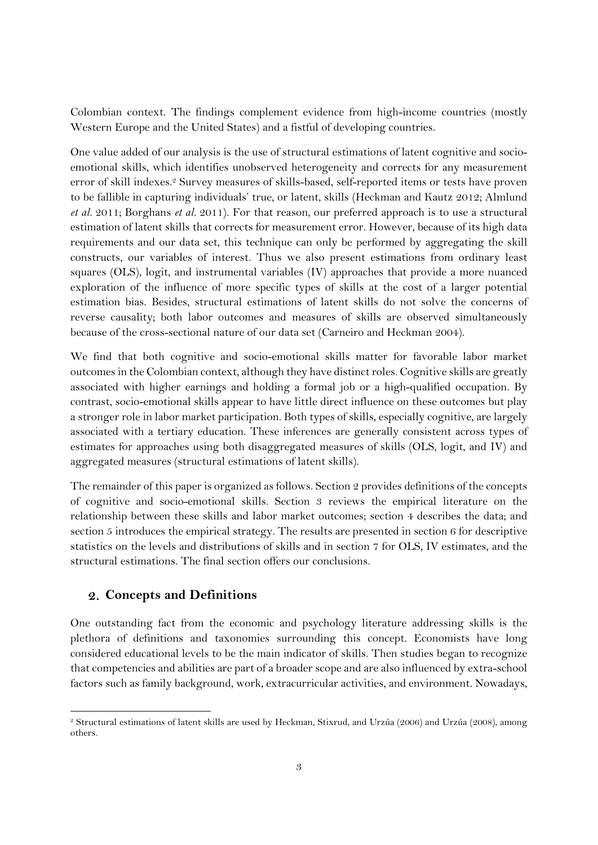Colombian context. The findings complement evidence from high-income countries (mostly Western Europe and the United States) and a fistful of developing countries.

One value added of our analysis is the use of structural estimations of latent cognitive and socioemotional skills, which identifies unobserved heterogeneity and corrects for any measurement error of skill indexes.2 Survey measures of skills-based, self-reported items or tests have proven to be fallible in capturing individuals' true, or latent, skills (Heckman and Kautz 2012; Almlund *et al.* 2011; Borghans *et al.* 2011). For that reason, our preferred approach is to use a structural estimation of latent skills that corrects for measurement error. However, because of its high data requirements and our data set, this technique can only be performed by aggregating the skill constructs, our variables of interest. Thus we also present estimations from ordinary least squares (OLS), logit, and instrumental variables (IV) approaches that provide a more nuanced exploration of the influence of more specific types of skills at the cost of a larger potential estimation bias. Besides, structural estimations of latent skills do not solve the concerns of reverse causality; both labor outcomes and measures of skills are observed simultaneously because of the cross-sectional nature of our data set (Carneiro and Heckman 2004).

We find that both cognitive and socio-emotional skills matter for favorable labor market outcomes in the Colombian context, although they have distinct roles. Cognitive skills are greatly associated with higher earnings and holding a formal job or a high-qualified occupation. By contrast, socio-emotional skills appear to have little direct influence on these outcomes but play a stronger role in labor market participation. Both types of skills, especially cognitive, are largely associated with a tertiary education. These inferences are generally consistent across types of estimates for approaches using both disaggregated measures of skills (OLS, logit, and IV) and aggregated measures (structural estimations of latent skills).

The remainder of this paper is organized as follows. Section 2 provides definitions of the concepts of cognitive and socio-emotional skills. Section 3 reviews the empirical literature on the relationship between these skills and labor market outcomes; section 4 describes the data; and section 5 introduces the empirical strategy. The results are presented in section 6 for descriptive statistics on the levels and distributions of skills and in section 7 for OLS, IV estimates, and the structural estimations. The final section offers our conclusions.

## **Concepts and Definitions**

-

One outstanding fact from the economic and psychology literature addressing skills is the plethora of definitions and taxonomies surrounding this concept. Economists have long considered educational levels to be the main indicator of skills. Then studies began to recognize that competencies and abilities are part of a broader scope and are also influenced by extra-school factors such as family background, work, extracurricular activities, and environment. Nowadays,

<sup>2</sup> Structural estimations of latent skills are used by Heckman, Stixrud, and Urzúa (2006) and Urzúa (2008), among others.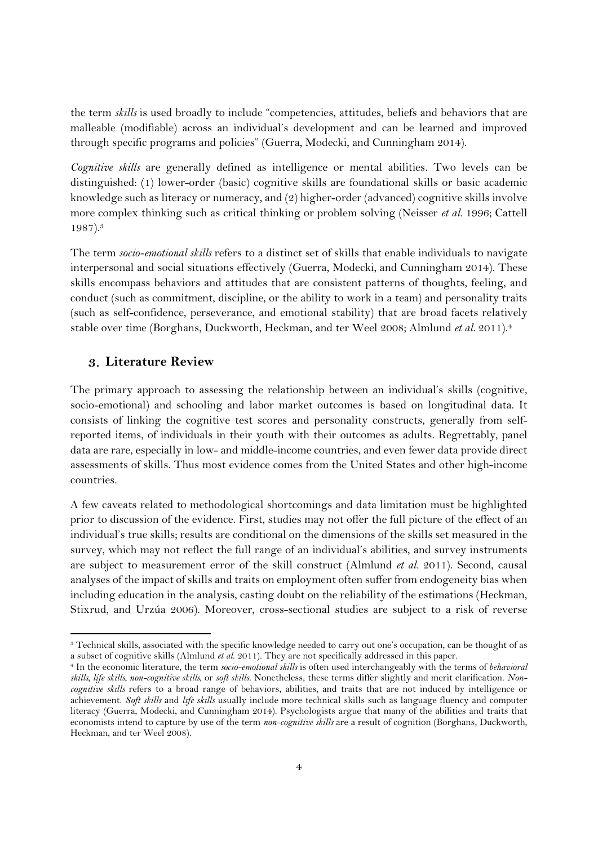the term *skills* is used broadly to include "competencies, attitudes, beliefs and behaviors that are malleable (modifiable) across an individual's development and can be learned and improved through specific programs and policies" (Guerra, Modecki, and Cunningham 2014).

*Cognitive skills* are generally defined as intelligence or mental abilities. Two levels can be distinguished: (1) lower-order (basic) cognitive skills are foundational skills or basic academic knowledge such as literacy or numeracy, and (2) higher-order (advanced) cognitive skills involve more complex thinking such as critical thinking or problem solving (Neisser *et al.* 1996; Cattell 1987).3

The term *socio-emotional skills* refers to a distinct set of skills that enable individuals to navigate interpersonal and social situations effectively (Guerra, Modecki, and Cunningham 2014). These skills encompass behaviors and attitudes that are consistent patterns of thoughts, feeling, and conduct (such as commitment, discipline, or the ability to work in a team) and personality traits (such as self-confidence, perseverance, and emotional stability) that are broad facets relatively stable over time (Borghans, Duckworth, Heckman, and ter Weel 2008; Almlund *et al.* 2011).4

#### **Literature Review**

-

The primary approach to assessing the relationship between an individual's skills (cognitive, socio-emotional) and schooling and labor market outcomes is based on longitudinal data. It consists of linking the cognitive test scores and personality constructs, generally from selfreported items, of individuals in their youth with their outcomes as adults. Regrettably, panel data are rare, especially in low- and middle-income countries, and even fewer data provide direct assessments of skills. Thus most evidence comes from the United States and other high-income countries.

A few caveats related to methodological shortcomings and data limitation must be highlighted prior to discussion of the evidence. First, studies may not offer the full picture of the effect of an individual's true skills; results are conditional on the dimensions of the skills set measured in the survey, which may not reflect the full range of an individual's abilities, and survey instruments are subject to measurement error of the skill construct (Almlund *et al.* 2011). Second, causal analyses of the impact of skills and traits on employment often suffer from endogeneity bias when including education in the analysis, casting doubt on the reliability of the estimations (Heckman, Stixrud, and Urzúa 2006). Moreover, cross-sectional studies are subject to a risk of reverse

<sup>3</sup> Technical skills, associated with the specific knowledge needed to carry out one's occupation, can be thought of as a subset of cognitive skills (Almlund et al. 2011). They are not specifically addressed in this paper.<br><sup>4</sup> In the economic literature, the term *socio-emotional skills* is often used interchangeably with the terms of behav

*skills, life skills, non-cognitive skills,* or *soft skills*. Nonetheless, these terms differ slightly and merit clarification. *Noncognitive skills* refers to a broad range of behaviors, abilities, and traits that are not induced by intelligence or achievement. *Soft skills* and *life skills* usually include more technical skills such as language fluency and computer literacy (Guerra, Modecki, and Cunningham 2014). Psychologists argue that many of the abilities and traits that economists intend to capture by use of the term *non-cognitive skills* are a result of cognition (Borghans, Duckworth, Heckman, and ter Weel 2008).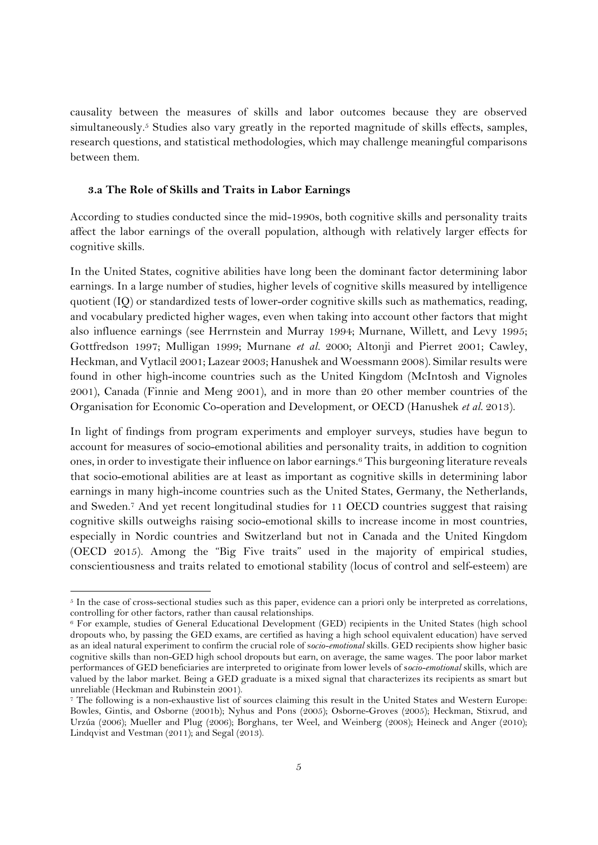causality between the measures of skills and labor outcomes because they are observed simultaneously.<sup>5</sup> Studies also vary greatly in the reported magnitude of skills effects, samples, research questions, and statistical methodologies, which may challenge meaningful comparisons between them.

#### **3.a The Role of Skills and Traits in Labor Earnings**

-

According to studies conducted since the mid-1990s, both cognitive skills and personality traits affect the labor earnings of the overall population, although with relatively larger effects for cognitive skills.

In the United States, cognitive abilities have long been the dominant factor determining labor earnings. In a large number of studies, higher levels of cognitive skills measured by intelligence quotient (IQ) or standardized tests of lower-order cognitive skills such as mathematics, reading, and vocabulary predicted higher wages, even when taking into account other factors that might also influence earnings (see Herrnstein and Murray 1994; Murnane, Willett, and Levy 1995; Gottfredson 1997; Mulligan 1999; Murnane *et al.* 2000; Altonji and Pierret 2001; Cawley, Heckman, and Vytlacil 2001; Lazear 2003; Hanushek and Woessmann 2008). Similar results were found in other high-income countries such as the United Kingdom (McIntosh and Vignoles 2001), Canada (Finnie and Meng 2001), and in more than 20 other member countries of the Organisation for Economic Co-operation and Development, or OECD (Hanushek *et al.* 2013).

In light of findings from program experiments and employer surveys, studies have begun to account for measures of socio-emotional abilities and personality traits, in addition to cognition ones, in order to investigate their influence on labor earnings.6 This burgeoning literature reveals that socio-emotional abilities are at least as important as cognitive skills in determining labor earnings in many high-income countries such as the United States, Germany, the Netherlands, and Sweden.7 And yet recent longitudinal studies for 11 OECD countries suggest that raising cognitive skills outweighs raising socio-emotional skills to increase income in most countries, especially in Nordic countries and Switzerland but not in Canada and the United Kingdom (OECD 2015). Among the "Big Five traits" used in the majority of empirical studies, conscientiousness and traits related to emotional stability (locus of control and self-esteem) are

 $5$  In the case of cross-sectional studies such as this paper, evidence can a priori only be interpreted as correlations, controlling for other factors, rather than causal relationships.

<sup>6</sup> For example, studies of General Educational Development (GED) recipients in the United States (high school dropouts who, by passing the GED exams, are certified as having a high school equivalent education) have served as an ideal natural experiment to confirm the crucial role of s*ocio-emotional* skills. GED recipients show higher basic cognitive skills than non-GED high school dropouts but earn, on average, the same wages. The poor labor market performances of GED beneficiaries are interpreted to originate from lower levels of s*ocio-emotional* skills, which are valued by the labor market. Being a GED graduate is a mixed signal that characterizes its recipients as smart but unreliable (Heckman and Rubinstein 2001).

<sup>7</sup> The following is a non-exhaustive list of sources claiming this result in the United States and Western Europe: Bowles, Gintis, and Osborne (2001b); Nyhus and Pons (2005); Osborne-Groves (2005); Heckman, Stixrud, and Urzúa (2006); Mueller and Plug (2006); Borghans, ter Weel, and Weinberg (2008); Heineck and Anger (2010); Lindqvist and Vestman (2011); and Segal (2013).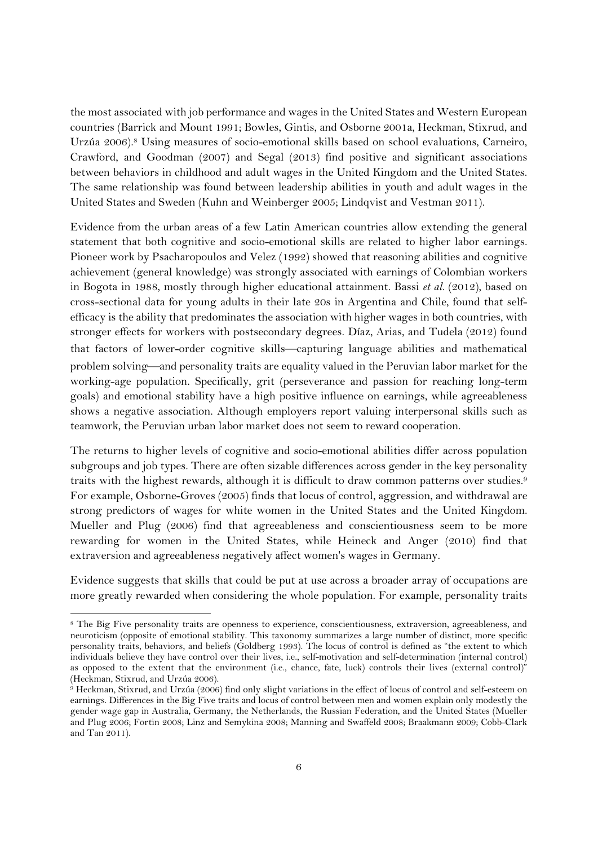the most associated with job performance and wages in the United States and Western European countries (Barrick and Mount 1991; Bowles, Gintis, and Osborne 2001a, Heckman, Stixrud, and Urzúa 2006).8 Using measures of socio-emotional skills based on school evaluations, Carneiro, Crawford, and Goodman (2007) and Segal (2013) find positive and significant associations between behaviors in childhood and adult wages in the United Kingdom and the United States. The same relationship was found between leadership abilities in youth and adult wages in the United States and Sweden (Kuhn and Weinberger 2005; Lindqvist and Vestman 2011).

Evidence from the urban areas of a few Latin American countries allow extending the general statement that both cognitive and socio-emotional skills are related to higher labor earnings. Pioneer work by Psacharopoulos and Velez (1992) showed that reasoning abilities and cognitive achievement (general knowledge) was strongly associated with earnings of Colombian workers in Bogota in 1988, mostly through higher educational attainment. Bassi *et al.* (2012), based on cross-sectional data for young adults in their late 20s in Argentina and Chile, found that selfefficacy is the ability that predominates the association with higher wages in both countries, with stronger effects for workers with postsecondary degrees. Díaz, Arias, and Tudela (2012) found that factors of lower-order cognitive skills—capturing language abilities and mathematical problem solving—and personality traits are equality valued in the Peruvian labor market for the working-age population. Specifically, grit (perseverance and passion for reaching long-term goals) and emotional stability have a high positive influence on earnings, while agreeableness shows a negative association. Although employers report valuing interpersonal skills such as teamwork, the Peruvian urban labor market does not seem to reward cooperation.

The returns to higher levels of cognitive and socio-emotional abilities differ across population subgroups and job types. There are often sizable differences across gender in the key personality traits with the highest rewards, although it is difficult to draw common patterns over studies.9 For example, Osborne-Groves (2005) finds that locus of control, aggression, and withdrawal are strong predictors of wages for white women in the United States and the United Kingdom. Mueller and Plug (2006) find that agreeableness and conscientiousness seem to be more rewarding for women in the United States, while Heineck and Anger (2010) find that extraversion and agreeableness negatively affect women's wages in Germany.

Evidence suggests that skills that could be put at use across a broader array of occupations are more greatly rewarded when considering the whole population. For example, personality traits

-

<sup>8</sup> The Big Five personality traits are openness to experience, conscientiousness, extraversion, agreeableness, and neuroticism (opposite of emotional stability. This taxonomy summarizes a large number of distinct, more specific personality traits, behaviors, and beliefs (Goldberg 1993). The locus of control is defined as "the extent to which individuals believe they have control over their lives, i.e., self-motivation and self-determination (internal control) as opposed to the extent that the environment (i.e., chance, fate, luck) controls their lives (external control)" (Heckman, Stixrud, and Urzúa 2006).

<sup>9</sup> Heckman, Stixrud, and Urzúa (2006) find only slight variations in the effect of locus of control and self-esteem on earnings. Differences in the Big Five traits and locus of control between men and women explain only modestly the gender wage gap in Australia, Germany, the Netherlands, the Russian Federation, and the United States (Mueller and Plug 2006; Fortin 2008; Linz and Semykina 2008; Manning and Swaffeld 2008; Braakmann 2009; Cobb-Clark and Tan 2011).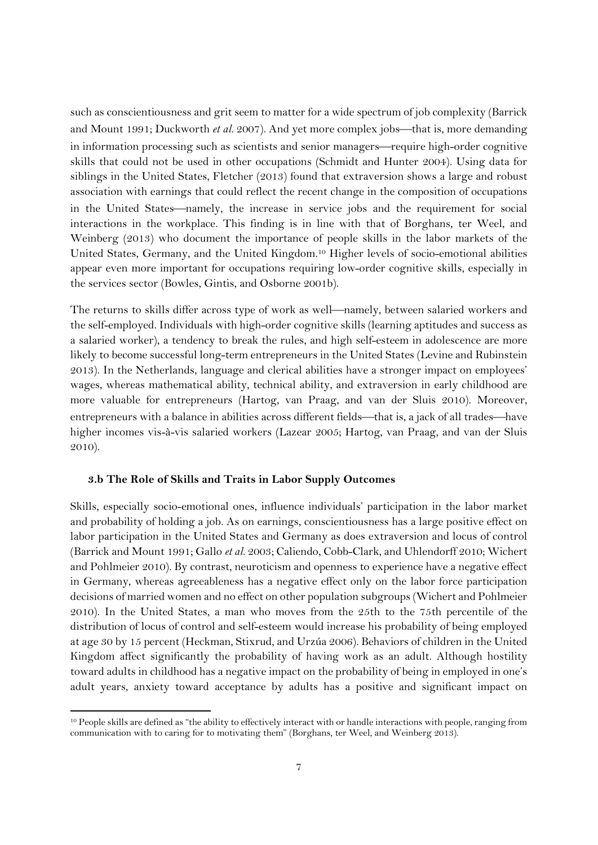such as conscientiousness and grit seem to matter for a wide spectrum of job complexity (Barrick and Mount 1991; Duckworth *et al.* 2007). And yet more complex jobs—that is, more demanding in information processing such as scientists and senior managers—require high-order cognitive skills that could not be used in other occupations (Schmidt and Hunter 2004). Using data for siblings in the United States, Fletcher (2013) found that extraversion shows a large and robust association with earnings that could reflect the recent change in the composition of occupations in the United States—namely, the increase in service jobs and the requirement for social interactions in the workplace. This finding is in line with that of Borghans, ter Weel, and Weinberg (2013) who document the importance of people skills in the labor markets of the United States, Germany, and the United Kingdom.10 Higher levels of socio-emotional abilities appear even more important for occupations requiring low-order cognitive skills, especially in the services sector (Bowles, Gintis, and Osborne 2001b).

The returns to skills differ across type of work as well-namely, between salaried workers and the self-employed. Individuals with high-order cognitive skills (learning aptitudes and success as a salaried worker), a tendency to break the rules, and high self-esteem in adolescence are more likely to become successful long-term entrepreneurs in the United States (Levine and Rubinstein 2013). In the Netherlands, language and clerical abilities have a stronger impact on employees' wages, whereas mathematical ability, technical ability, and extraversion in early childhood are more valuable for entrepreneurs (Hartog, van Praag, and van der Sluis 2010). Moreover, entrepreneurs with a balance in abilities across different fields—that is, a jack of all trades—have higher incomes vis-à-vis salaried workers (Lazear 2005; Hartog, van Praag, and van der Sluis 2010).

#### **3.b The Role of Skills and Traits in Labor Supply Outcomes**

-

Skills, especially socio-emotional ones, influence individuals' participation in the labor market and probability of holding a job. As on earnings, conscientiousness has a large positive effect on labor participation in the United States and Germany as does extraversion and locus of control (Barrick and Mount 1991; Gallo *et al.* 2003; Caliendo, Cobb-Clark, and Uhlendorff 2010; Wichert and Pohlmeier 2010). By contrast, neuroticism and openness to experience have a negative effect in Germany, whereas agreeableness has a negative effect only on the labor force participation decisions of married women and no effect on other population subgroups (Wichert and Pohlmeier 2010). In the United States, a man who moves from the 25th to the 75th percentile of the distribution of locus of control and self-esteem would increase his probability of being employed at age 30 by 15 percent (Heckman, Stixrud, and Urzúa 2006). Behaviors of children in the United Kingdom affect significantly the probability of having work as an adult. Although hostility toward adults in childhood has a negative impact on the probability of being in employed in one's adult years, anxiety toward acceptance by adults has a positive and significant impact on

<sup>10</sup> People skills are defined as "the ability to effectively interact with or handle interactions with people, ranging from communication with to caring for to motivating them" (Borghans, ter Weel, and Weinberg 2013).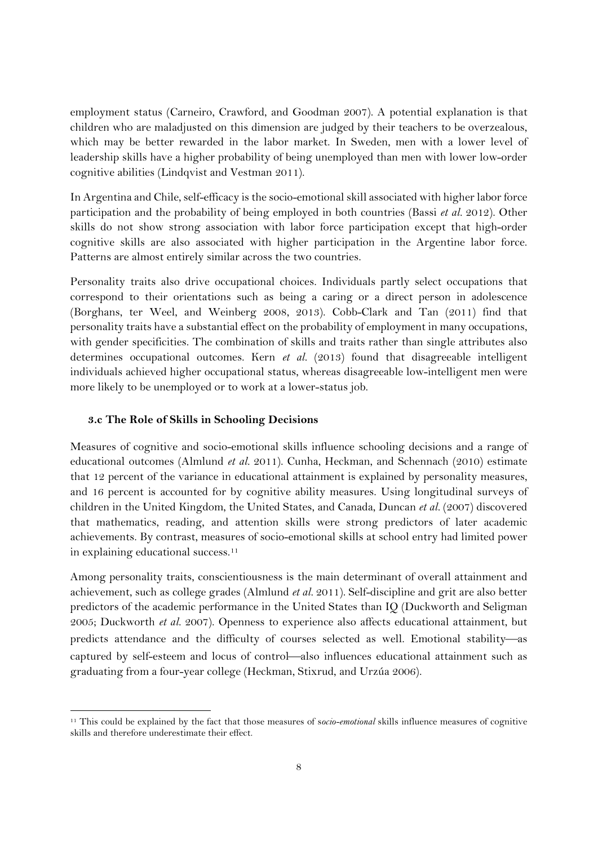employment status (Carneiro, Crawford, and Goodman 2007). A potential explanation is that children who are maladjusted on this dimension are judged by their teachers to be overzealous, which may be better rewarded in the labor market. In Sweden, men with a lower level of leadership skills have a higher probability of being unemployed than men with lower low-order cognitive abilities (Lindqvist and Vestman 2011).

In Argentina and Chile, self-efficacy is the socio-emotional skill associated with higher labor force participation and the probability of being employed in both countries (Bassi *et al.* 2012). Other skills do not show strong association with labor force participation except that high-order cognitive skills are also associated with higher participation in the Argentine labor force. Patterns are almost entirely similar across the two countries.

Personality traits also drive occupational choices. Individuals partly select occupations that correspond to their orientations such as being a caring or a direct person in adolescence (Borghans, ter Weel, and Weinberg 2008, 2013). Cobb-Clark and Tan (2011) find that personality traits have a substantial effect on the probability of employment in many occupations, with gender specificities. The combination of skills and traits rather than single attributes also determines occupational outcomes. Kern *et al.* (2013) found that disagreeable intelligent individuals achieved higher occupational status, whereas disagreeable low-intelligent men were more likely to be unemployed or to work at a lower-status job.

#### **3.c The Role of Skills in Schooling Decisions**

-

Measures of cognitive and socio-emotional skills influence schooling decisions and a range of educational outcomes (Almlund *et al.* 2011). Cunha, Heckman, and Schennach (2010) estimate that 12 percent of the variance in educational attainment is explained by personality measures, and 16 percent is accounted for by cognitive ability measures. Using longitudinal surveys of children in the United Kingdom, the United States, and Canada, Duncan *et al.* (2007) discovered that mathematics, reading, and attention skills were strong predictors of later academic achievements. By contrast, measures of socio-emotional skills at school entry had limited power in explaining educational success.<sup>11</sup>

Among personality traits, conscientiousness is the main determinant of overall attainment and achievement, such as college grades (Almlund *et al.* 2011). Self-discipline and grit are also better predictors of the academic performance in the United States than IQ (Duckworth and Seligman 2005; Duckworth *et al.* 2007). Openness to experience also affects educational attainment, but predicts attendance and the difficulty of courses selected as well. Emotional stability—as captured by self-esteem and locus of control—also influences educational attainment such as graduating from a four-year college (Heckman, Stixrud, and Urzúa 2006).

<sup>11</sup> This could be explained by the fact that those measures of s*ocio-emotional* skills influence measures of cognitive skills and therefore underestimate their effect.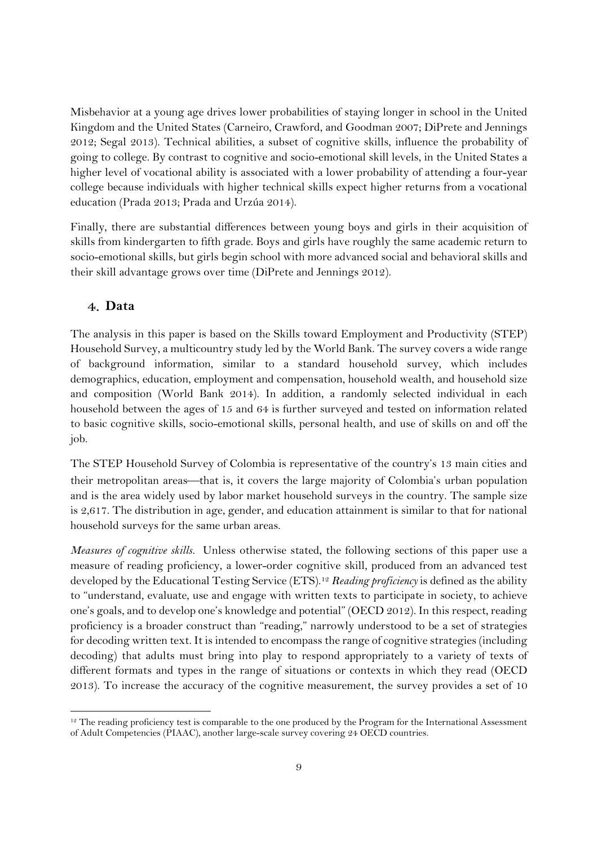Misbehavior at a young age drives lower probabilities of staying longer in school in the United Kingdom and the United States (Carneiro, Crawford, and Goodman 2007; DiPrete and Jennings 2012; Segal 2013). Technical abilities, a subset of cognitive skills, influence the probability of going to college. By contrast to cognitive and socio-emotional skill levels, in the United States a higher level of vocational ability is associated with a lower probability of attending a four-year college because individuals with higher technical skills expect higher returns from a vocational education (Prada 2013; Prada and Urzúa 2014).

Finally, there are substantial differences between young boys and girls in their acquisition of skills from kindergarten to fifth grade. Boys and girls have roughly the same academic return to socio-emotional skills, but girls begin school with more advanced social and behavioral skills and their skill advantage grows over time (DiPrete and Jennings 2012).

## **Data**

-

The analysis in this paper is based on the Skills toward Employment and Productivity (STEP) Household Survey, a multicountry study led by the World Bank. The survey covers a wide range of background information, similar to a standard household survey, which includes demographics, education, employment and compensation, household wealth, and household size and composition (World Bank 2014). In addition, a randomly selected individual in each household between the ages of 15 and 64 is further surveyed and tested on information related to basic cognitive skills, socio-emotional skills, personal health, and use of skills on and off the job.

The STEP Household Survey of Colombia is representative of the country's 13 main cities and their metropolitan areas—that is, it covers the large majority of Colombia's urban population and is the area widely used by labor market household surveys in the country. The sample size is 2,617. The distribution in age, gender, and education attainment is similar to that for national household surveys for the same urban areas.

*Measures of cognitive skills.* Unless otherwise stated, the following sections of this paper use a measure of reading proficiency, a lower-order cognitive skill, produced from an advanced test developed by the Educational Testing Service (ETS).12 *Reading proficiency* is defined as the ability to "understand, evaluate, use and engage with written texts to participate in society, to achieve one's goals, and to develop one's knowledge and potential" (OECD 2012). In this respect, reading proficiency is a broader construct than "reading," narrowly understood to be a set of strategies for decoding written text. It is intended to encompass the range of cognitive strategies (including decoding) that adults must bring into play to respond appropriately to a variety of texts of different formats and types in the range of situations or contexts in which they read (OECD 2013). To increase the accuracy of the cognitive measurement, the survey provides a set of 10

<sup>&</sup>lt;sup>12</sup> The reading proficiency test is comparable to the one produced by the Program for the International Assessment of Adult Competencies (PIAAC), another large-scale survey covering 24 OECD countries.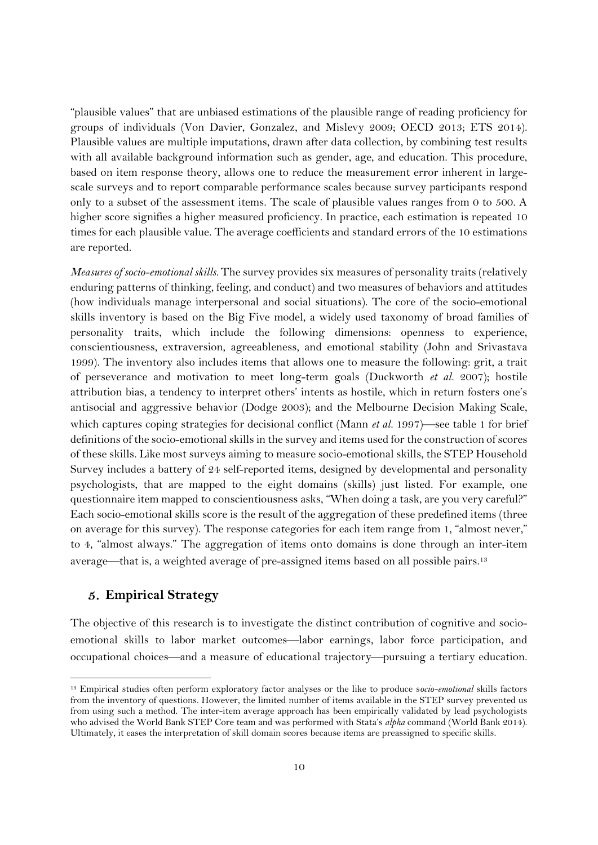"plausible values" that are unbiased estimations of the plausible range of reading proficiency for groups of individuals (Von Davier, Gonzalez, and Mislevy 2009; OECD 2013; ETS 2014). Plausible values are multiple imputations, drawn after data collection, by combining test results with all available background information such as gender, age, and education. This procedure, based on item response theory, allows one to reduce the measurement error inherent in largescale surveys and to report comparable performance scales because survey participants respond only to a subset of the assessment items. The scale of plausible values ranges from 0 to 500. A higher score signifies a higher measured proficiency. In practice, each estimation is repeated 10 times for each plausible value. The average coefficients and standard errors of the 10 estimations are reported.

*Measures of socio-emotional skills.* The survey provides six measures of personality traits (relatively enduring patterns of thinking, feeling, and conduct) and two measures of behaviors and attitudes (how individuals manage interpersonal and social situations). The core of the socio-emotional skills inventory is based on the Big Five model, a widely used taxonomy of broad families of personality traits, which include the following dimensions: openness to experience, conscientiousness, extraversion, agreeableness, and emotional stability (John and Srivastava 1999). The inventory also includes items that allows one to measure the following: grit, a trait of perseverance and motivation to meet long-term goals (Duckworth *et al.* 2007); hostile attribution bias, a tendency to interpret others' intents as hostile, which in return fosters one's antisocial and aggressive behavior (Dodge 2003); and the Melbourne Decision Making Scale, which captures coping strategies for decisional conflict (Mann *et al.* 1997) see table 1 for brief definitions of the socio-emotional skills in the survey and items used for the construction of scores of these skills. Like most surveys aiming to measure socio-emotional skills, the STEP Household Survey includes a battery of 24 self-reported items, designed by developmental and personality psychologists, that are mapped to the eight domains (skills) just listed. For example, one questionnaire item mapped to conscientiousness asks, "When doing a task, are you very careful?" Each socio-emotional skills score is the result of the aggregation of these predefined items (three on average for this survey). The response categories for each item range from 1, "almost never," to 4, "almost always." The aggregation of items onto domains is done through an inter-item average—that is, a weighted average of pre-assigned items based on all possible pairs.<sup>13</sup>

## **Empirical Strategy**

-

The objective of this research is to investigate the distinct contribution of cognitive and socioemotional skills to labor market outcomes—labor earnings, labor force participation, and occupational choices—and a measure of educational trajectory—pursuing a tertiary education.

<sup>13</sup> Empirical studies often perform exploratory factor analyses or the like to produce s*ocio-emotional* skills factors from the inventory of questions. However, the limited number of items available in the STEP survey prevented us from using such a method. The inter-item average approach has been empirically validated by lead psychologists who advised the World Bank STEP Core team and was performed with Stata's *alpha* command (World Bank 2014). Ultimately, it eases the interpretation of skill domain scores because items are preassigned to specific skills.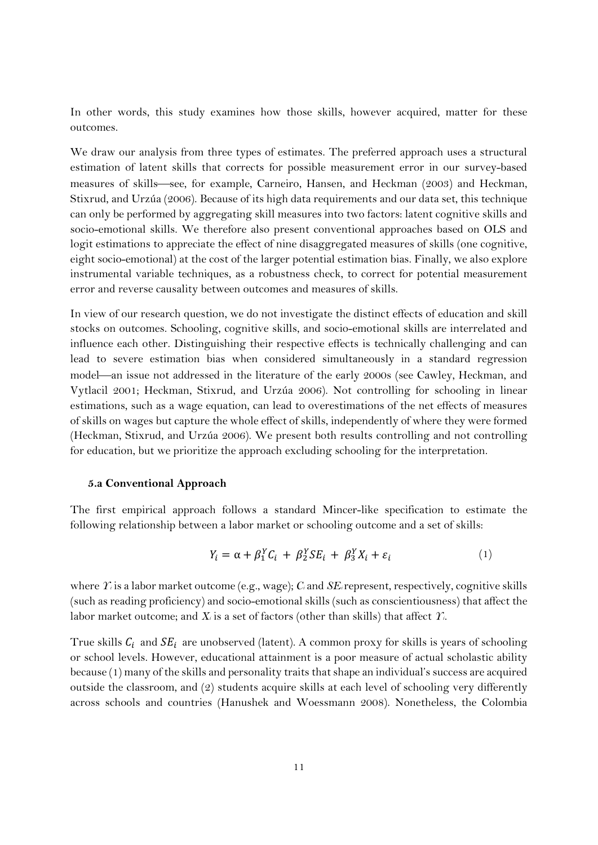In other words, this study examines how those skills, however acquired, matter for these outcomes.

We draw our analysis from three types of estimates. The preferred approach uses a structural estimation of latent skills that corrects for possible measurement error in our survey-based measures of skills—see, for example, Carneiro, Hansen, and Heckman (2003) and Heckman, Stixrud, and Urzúa (2006). Because of its high data requirements and our data set, this technique can only be performed by aggregating skill measures into two factors: latent cognitive skills and socio-emotional skills. We therefore also present conventional approaches based on OLS and logit estimations to appreciate the effect of nine disaggregated measures of skills (one cognitive, eight socio-emotional) at the cost of the larger potential estimation bias. Finally, we also explore instrumental variable techniques, as a robustness check, to correct for potential measurement error and reverse causality between outcomes and measures of skills.

In view of our research question, we do not investigate the distinct effects of education and skill stocks on outcomes. Schooling, cognitive skills, and socio-emotional skills are interrelated and influence each other. Distinguishing their respective effects is technically challenging and can lead to severe estimation bias when considered simultaneously in a standard regression model—an issue not addressed in the literature of the early 2000s (see Cawley, Heckman, and Vytlacil 2001; Heckman, Stixrud, and Urzúa 2006). Not controlling for schooling in linear estimations, such as a wage equation, can lead to overestimations of the net effects of measures of skills on wages but capture the whole effect of skills, independently of where they were formed (Heckman, Stixrud, and Urzúa 2006). We present both results controlling and not controlling for education, but we prioritize the approach excluding schooling for the interpretation.

#### **5.a Conventional Approach**

The first empirical approach follows a standard Mincer-like specification to estimate the following relationship between a labor market or schooling outcome and a set of skills:

$$
Y_i = \alpha + \beta_1^Y C_i + \beta_2^Y SE_i + \beta_3^Y X_i + \varepsilon_i \tag{1}
$$

where *Yi* is a labor market outcome (e.g., wage); *Ci* and *SEi*represent, respectively, cognitive skills (such as reading proficiency) and socio-emotional skills (such as conscientiousness) that affect the labor market outcome; and *Xi* is a set of factors (other than skills) that affect *Yi.*

True skills  $C_i$  and  $SE_i$  are unobserved (latent). A common proxy for skills is years of schooling or school levels. However, educational attainment is a poor measure of actual scholastic ability because (1) many of the skills and personality traits that shape an individual's success are acquired outside the classroom, and (2) students acquire skills at each level of schooling very differently across schools and countries (Hanushek and Woessmann 2008). Nonetheless, the Colombia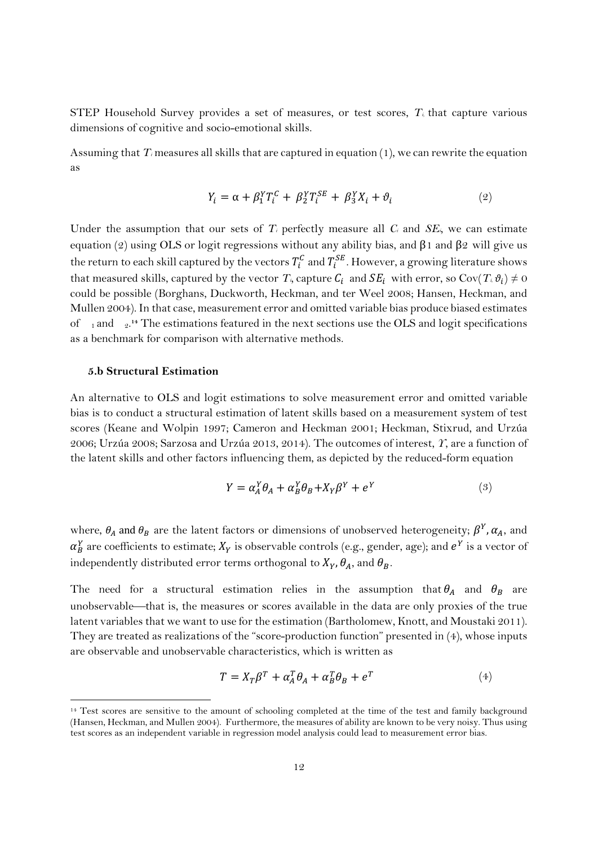STEP Household Survey provides a set of measures, or test scores,  $T<sub>i</sub>$  that capture various dimensions of cognitive and socio-emotional skills.

Assuming that *Ti* measures all skills that are captured in equation (1), we can rewrite the equation as

$$
Y_i = \alpha + \beta_1^Y T_i^C + \beta_2^Y T_i^{SE} + \beta_3^Y X_i + \vartheta_i \tag{2}
$$

Under the assumption that our sets of  $T_i$  perfectly measure all  $C_i$  and  $SE_j$ , we can estimate equation (2) using OLS or logit regressions without any ability bias, and  $\beta$ 1 and  $\beta$ 2 will give us the return to each skill captured by the vectors  $T_i^{\mathcal{C}}$  and  $T_i^{SE}$ . However, a growing literature shows that measured skills, captured by the vector  $T_i$ , capture  $C_i$  and  $SE_i$  with error, so Cov( $T_i \vartheta_i$ )  $\neq 0$ could be possible (Borghans, Duckworth, Heckman, and ter Weel 2008; Hansen, Heckman, and Mullen 2004). In that case, measurement error and omitted variable bias produce biased estimates of <sub>1</sub> and <sub>2</sub><sup>14</sup> The estimations featured in the next sections use the OLS and logit specifications as a benchmark for comparison with alternative methods.

#### **5.b Structural Estimation**

-

An alternative to OLS and logit estimations to solve measurement error and omitted variable bias is to conduct a structural estimation of latent skills based on a measurement system of test scores (Keane and Wolpin 1997; Cameron and Heckman 2001; Heckman, Stixrud, and Urzúa 2006; Urzúa 2008; Sarzosa and Urzúa 2013, 2014). The outcomes of interest, *Y*, are a function of the latent skills and other factors influencing them, as depicted by the reduced-form equation

$$
Y = \alpha_A^Y \theta_A + \alpha_B^Y \theta_B + X_Y \beta^Y + e^Y \tag{3}
$$

where,  $\theta_A$  and  $\theta_B$  are the latent factors or dimensions of unobserved heterogeneity;  $\beta^Y$ ,  $\alpha_A$ , and  $\alpha^Y_B$  are coefficients to estimate;  $X_Y$  is observable controls (e.g., gender, age); and  $e^Y$  is a vector of independently distributed error terms orthogonal to  $X_Y$ ,  $\theta_A$ , and  $\theta_B$ .

The need for a structural estimation relies in the assumption that  $\theta_A$  and  $\theta_B$  are unobservable—that is, the measures or scores available in the data are only proxies of the true latent variables that we want to use for the estimation (Bartholomew, Knott, and Moustaki 2011). They are treated as realizations of the "score-production function" presented in (4), whose inputs are observable and unobservable characteristics, which is written as

$$
T = X_T \beta^T + \alpha_A^T \theta_A + \alpha_B^T \theta_B + e^T \tag{4}
$$

<sup>&</sup>lt;sup>14</sup> Test scores are sensitive to the amount of schooling completed at the time of the test and family background (Hansen, Heckman, and Mullen 2004). Furthermore, the measures of ability are known to be very noisy. Thus using test scores as an independent variable in regression model analysis could lead to measurement error bias.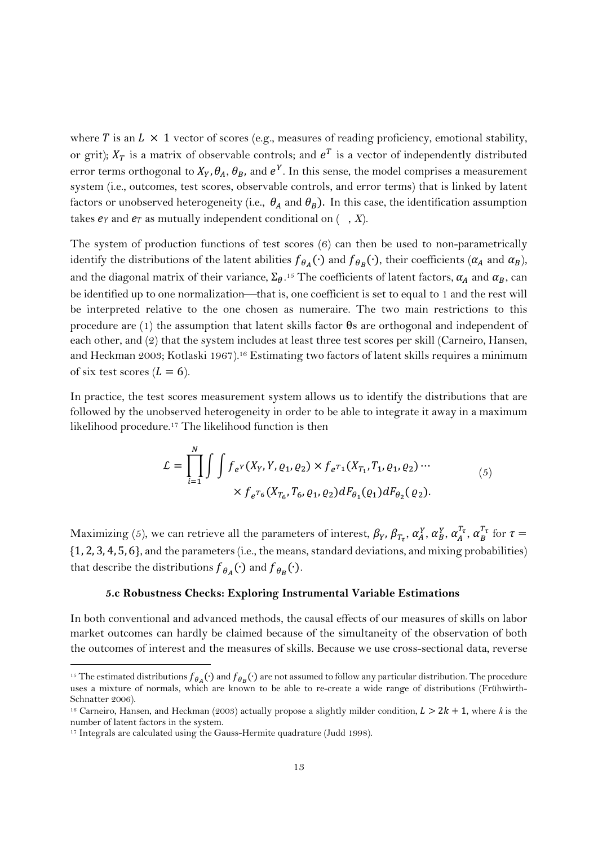where T is an  $L \times 1$  vector of scores (e.g., measures of reading proficiency, emotional stability, or grit);  $X_T$  is a matrix of observable controls; and  $e^T$  is a vector of independently distributed error terms orthogonal to  $X_Y$ ,  $\theta_A$ ,  $\theta_B$ , and  $e^Y$ . In this sense, the model comprises a measurement system (i.e., outcomes, test scores, observable controls, and error terms) that is linked by latent factors or unobserved heterogeneity (i.e.,  $\theta_A$  and  $\theta_B$ ). In this case, the identification assumption takes  $e_Y$  and  $e_T$  as mutually independent conditional on  $($ ,  $X)$ .

The system of production functions of test scores (6) can then be used to non-parametrically identify the distributions of the latent abilities  $f_{\theta_A}(\cdot)$  and  $f_{\theta_B}(\cdot)$ , their coefficients ( $\alpha_A$  and  $\alpha_B$ ), and the diagonal matrix of their variance,  $\Sigma_\theta$ .<sup>15</sup> The coefficients of latent factors,  $\alpha_A$  and  $\alpha_B$ , can be identified up to one normalization—that is, one coefficient is set to equal to 1 and the rest will be interpreted relative to the one chosen as numeraire. The two main restrictions to this procedure are (1) the assumption that latent skills factor θs are orthogonal and independent of each other, and (2) that the system includes at least three test scores per skill (Carneiro, Hansen, and Heckman 2003; Kotlaski 1967).16 Estimating two factors of latent skills requires a minimum of six test scores  $(L = 6)$ .

In practice, the test scores measurement system allows us to identify the distributions that are followed by the unobserved heterogeneity in order to be able to integrate it away in a maximum likelihood procedure.17 The likelihood function is then

$$
\mathcal{L} = \prod_{i=1}^{N} \int \int f_{e^{Y}}(X_{Y}, Y, \varrho_{1}, \varrho_{2}) \times f_{e^{T_{1}}}(X_{T_{1}}, T_{1}, \varrho_{1}, \varrho_{2}) \cdots
$$
  
 
$$
\times f_{e^{T_{6}}}(X_{T_{6}}, T_{6}, \varrho_{1}, \varrho_{2}) dF_{\theta_{1}}(\varrho_{1}) dF_{\theta_{2}}(\varrho_{2}).
$$
 (5)

Maximizing (5), we can retrieve all the parameters of interest,  $\beta_Y$ ,  $\beta_{T_\tau}$ ,  $\alpha_A^Y$ ,  $\alpha_B^Y$ ,  $\alpha_A^{T_\tau}$ ,  $\alpha_B^{T_\tau}$  for  $\tau=$  $\{1, 2, 3, 4, 5, 6\}$ , and the parameters (i.e., the means, standard deviations, and mixing probabilities) that describe the distributions  $f_{\theta_A}(\cdot)$  and  $f_{\theta_B}(\cdot)$ .

#### **5.c Robustness Checks: Exploring Instrumental Variable Estimations**

In both conventional and advanced methods, the causal effects of our measures of skills on labor market outcomes can hardly be claimed because of the simultaneity of the observation of both the outcomes of interest and the measures of skills. Because we use cross-sectional data, reverse

-

<sup>&</sup>lt;sup>15</sup> The estimated distributions  $f_{\theta_A}(\cdot)$  and  $f_{\theta_B}(\cdot)$  are not assumed to follow any particular distribution. The procedure uses a mixture of normals, which are known to be able to re-create a wide range of distributions (Frühwirth-Schnatter 2006).

<sup>&</sup>lt;sup>16</sup> Carneiro, Hansen, and Heckman (2003) actually propose a slightly milder condition,  $L > 2k + 1$ , where *k* is the number of latent factors in the system.

<sup>&</sup>lt;sup>17</sup> Integrals are calculated using the Gauss-Hermite quadrature (Judd 1998).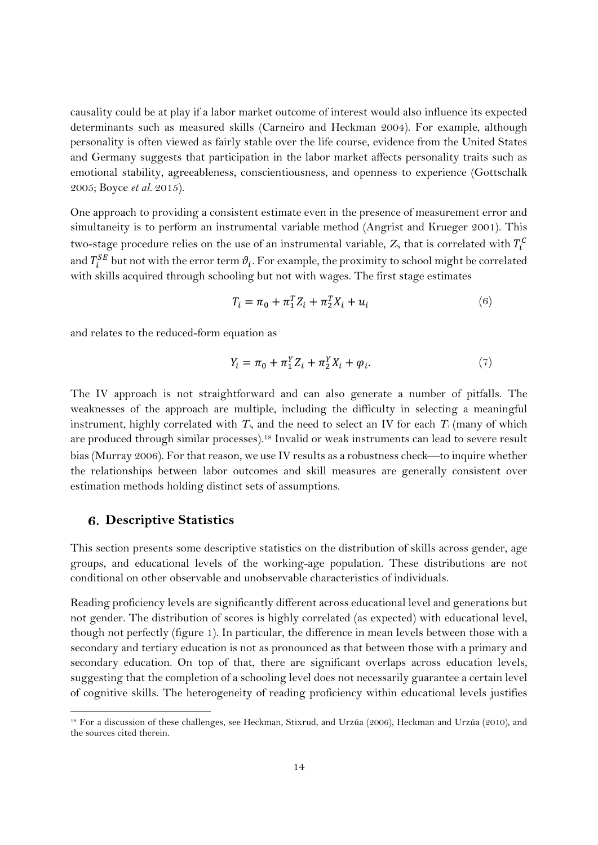causality could be at play if a labor market outcome of interest would also influence its expected determinants such as measured skills (Carneiro and Heckman 2004). For example, although personality is often viewed as fairly stable over the life course, evidence from the United States and Germany suggests that participation in the labor market affects personality traits such as emotional stability, agreeableness, conscientiousness, and openness to experience (Gottschalk 2005; Boyce *et al.* 2015).

One approach to providing a consistent estimate even in the presence of measurement error and simultaneity is to perform an instrumental variable method (Angrist and Krueger 2001). This two-stage procedure relies on the use of an instrumental variable,  $Z_{\scriptscriptstyle\rm S}$  that is correlated with  $T_{\scriptscriptstyle\rm I}^{\scriptscriptstyle\rm C}$ and  $T_i^{SE}$  but not with the error term  $\vartheta_i.$  For example, the proximity to school might be correlated with skills acquired through schooling but not with wages. The first stage estimates

$$
T_i = \pi_0 + \pi_1^T Z_i + \pi_2^T X_i + u_i \tag{6}
$$

and relates to the reduced-form equation as

$$
Y_i = \pi_0 + \pi_1^Y Z_i + \pi_2^Y X_i + \varphi_i.
$$
 (7)

The IV approach is not straightforward and can also generate a number of pitfalls. The weaknesses of the approach are multiple, including the difficulty in selecting a meaningful instrument, highly correlated with  $T_i$ , and the need to select an IV for each  $T_i$  (many of which are produced through similar processes).18 Invalid or weak instruments can lead to severe result bias (Murray 2006). For that reason, we use IV results as a robustness check—to inquire whether the relationships between labor outcomes and skill measures are generally consistent over estimation methods holding distinct sets of assumptions.

#### **Descriptive Statistics**

-

This section presents some descriptive statistics on the distribution of skills across gender, age groups, and educational levels of the working-age population. These distributions are not conditional on other observable and unobservable characteristics of individuals.

Reading proficiency levels are significantly different across educational level and generations but not gender. The distribution of scores is highly correlated (as expected) with educational level, though not perfectly (figure 1). In particular, the difference in mean levels between those with a secondary and tertiary education is not as pronounced as that between those with a primary and secondary education. On top of that, there are significant overlaps across education levels, suggesting that the completion of a schooling level does not necessarily guarantee a certain level of cognitive skills. The heterogeneity of reading proficiency within educational levels justifies

<sup>18</sup> For a discussion of these challenges, see Heckman, Stixrud, and Urzúa (2006), Heckman and Urzúa (2010), and the sources cited therein.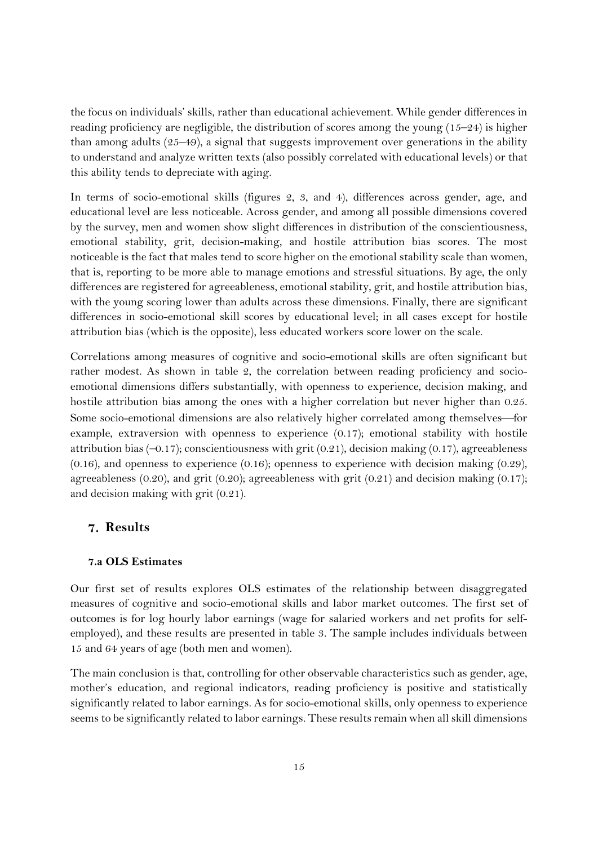the focus on individuals' skills, rather than educational achievement. While gender differences in reading proficiency are negligible, the distribution of scores among the young (15–24) is higher than among adults (25–49), a signal that suggests improvement over generations in the ability to understand and analyze written texts (also possibly correlated with educational levels) or that this ability tends to depreciate with aging.

In terms of socio-emotional skills (figures 2, 3, and 4), differences across gender, age, and educational level are less noticeable. Across gender, and among all possible dimensions covered by the survey, men and women show slight differences in distribution of the conscientiousness, emotional stability, grit, decision-making, and hostile attribution bias scores. The most noticeable is the fact that males tend to score higher on the emotional stability scale than women, that is, reporting to be more able to manage emotions and stressful situations. By age, the only differences are registered for agreeableness, emotional stability, grit, and hostile attribution bias, with the young scoring lower than adults across these dimensions. Finally, there are significant differences in socio-emotional skill scores by educational level; in all cases except for hostile attribution bias (which is the opposite), less educated workers score lower on the scale.

Correlations among measures of cognitive and socio-emotional skills are often significant but rather modest. As shown in table 2, the correlation between reading proficiency and socioemotional dimensions differs substantially, with openness to experience, decision making, and hostile attribution bias among the ones with a higher correlation but never higher than 0.25. Some socio-emotional dimensions are also relatively higher correlated among themselves—for example, extraversion with openness to experience (0.17); emotional stability with hostile attribution bias  $(-0.17)$ ; conscientiousness with grit  $(0.21)$ , decision making  $(0.17)$ , agreeableness (0.16), and openness to experience (0.16); openness to experience with decision making (0.29), agreeableness (0.20), and grit (0.20); agreeableness with grit (0.21) and decision making (0.17); and decision making with grit (0.21).

## **Results**

#### **7.a OLS Estimates**

Our first set of results explores OLS estimates of the relationship between disaggregated measures of cognitive and socio-emotional skills and labor market outcomes. The first set of outcomes is for log hourly labor earnings (wage for salaried workers and net profits for selfemployed), and these results are presented in table 3. The sample includes individuals between 15 and 64 years of age (both men and women).

The main conclusion is that, controlling for other observable characteristics such as gender, age, mother's education, and regional indicators, reading proficiency is positive and statistically significantly related to labor earnings. As for socio-emotional skills, only openness to experience seems to be significantly related to labor earnings. These results remain when all skill dimensions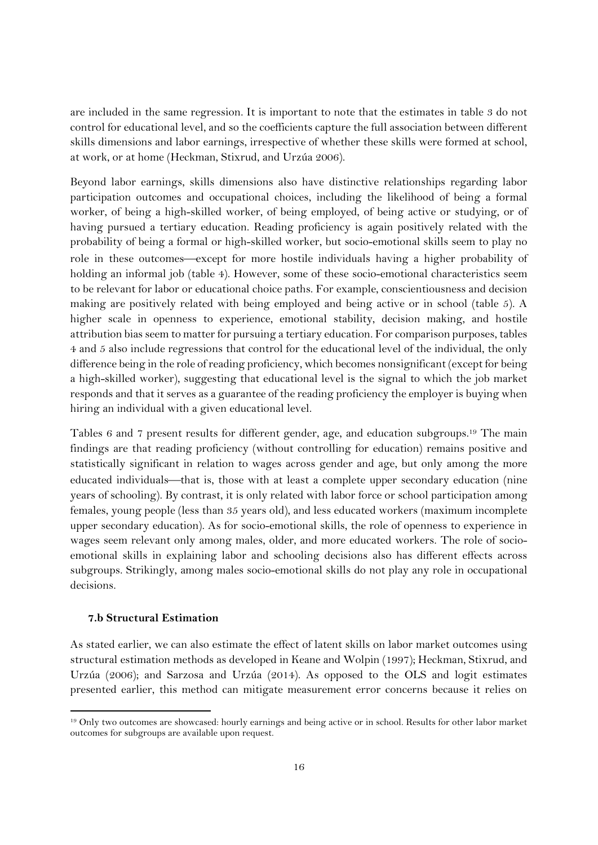are included in the same regression. It is important to note that the estimates in table 3 do not control for educational level, and so the coefficients capture the full association between different skills dimensions and labor earnings, irrespective of whether these skills were formed at school, at work, or at home (Heckman, Stixrud, and Urzúa 2006).

Beyond labor earnings, skills dimensions also have distinctive relationships regarding labor participation outcomes and occupational choices, including the likelihood of being a formal worker, of being a high-skilled worker, of being employed, of being active or studying, or of having pursued a tertiary education. Reading proficiency is again positively related with the probability of being a formal or high-skilled worker, but socio-emotional skills seem to play no role in these outcomes—except for more hostile individuals having a higher probability of holding an informal job (table 4). However, some of these socio-emotional characteristics seem to be relevant for labor or educational choice paths. For example, conscientiousness and decision making are positively related with being employed and being active or in school (table 5). A higher scale in openness to experience, emotional stability, decision making, and hostile attribution bias seem to matter for pursuing a tertiary education. For comparison purposes, tables 4 and 5 also include regressions that control for the educational level of the individual, the only difference being in the role of reading proficiency, which becomes nonsignificant (except for being a high-skilled worker), suggesting that educational level is the signal to which the job market responds and that it serves as a guarantee of the reading proficiency the employer is buying when hiring an individual with a given educational level.

Tables 6 and 7 present results for different gender, age, and education subgroups.19 The main findings are that reading proficiency (without controlling for education) remains positive and statistically significant in relation to wages across gender and age, but only among the more educated individuals—that is, those with at least a complete upper secondary education (nine years of schooling). By contrast, it is only related with labor force or school participation among females, young people (less than 35 years old), and less educated workers (maximum incomplete upper secondary education). As for socio-emotional skills, the role of openness to experience in wages seem relevant only among males, older, and more educated workers. The role of socioemotional skills in explaining labor and schooling decisions also has different effects across subgroups. Strikingly, among males socio-emotional skills do not play any role in occupational decisions.

#### **7.b Structural Estimation**

-

As stated earlier, we can also estimate the effect of latent skills on labor market outcomes using structural estimation methods as developed in Keane and Wolpin (1997); Heckman, Stixrud, and Urzúa (2006); and Sarzosa and Urzúa (2014). As opposed to the OLS and logit estimates presented earlier, this method can mitigate measurement error concerns because it relies on

<sup>19</sup> Only two outcomes are showcased: hourly earnings and being active or in school. Results for other labor market outcomes for subgroups are available upon request.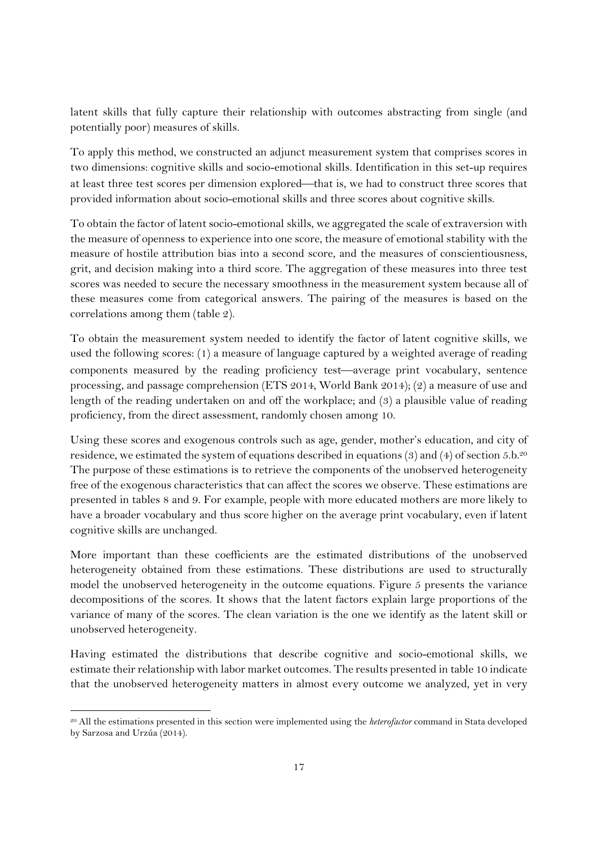latent skills that fully capture their relationship with outcomes abstracting from single (and potentially poor) measures of skills.

To apply this method, we constructed an adjunct measurement system that comprises scores in two dimensions: cognitive skills and socio-emotional skills. Identification in this set-up requires at least three test scores per dimension explored—that is, we had to construct three scores that provided information about socio-emotional skills and three scores about cognitive skills.

To obtain the factor of latent socio-emotional skills, we aggregated the scale of extraversion with the measure of openness to experience into one score, the measure of emotional stability with the measure of hostile attribution bias into a second score, and the measures of conscientiousness, grit, and decision making into a third score. The aggregation of these measures into three test scores was needed to secure the necessary smoothness in the measurement system because all of these measures come from categorical answers. The pairing of the measures is based on the correlations among them (table 2).

To obtain the measurement system needed to identify the factor of latent cognitive skills, we used the following scores: (1) a measure of language captured by a weighted average of reading components measured by the reading proficiency test—average print vocabulary, sentence processing, and passage comprehension (ETS 2014, World Bank 2014); (2) a measure of use and length of the reading undertaken on and off the workplace; and (3) a plausible value of reading proficiency, from the direct assessment, randomly chosen among 10.

Using these scores and exogenous controls such as age, gender, mother's education, and city of residence, we estimated the system of equations described in equations (3) and (4) of section 5.b.<sup>20</sup> The purpose of these estimations is to retrieve the components of the unobserved heterogeneity free of the exogenous characteristics that can affect the scores we observe. These estimations are presented in tables 8 and 9. For example, people with more educated mothers are more likely to have a broader vocabulary and thus score higher on the average print vocabulary, even if latent cognitive skills are unchanged.

More important than these coefficients are the estimated distributions of the unobserved heterogeneity obtained from these estimations. These distributions are used to structurally model the unobserved heterogeneity in the outcome equations. Figure 5 presents the variance decompositions of the scores. It shows that the latent factors explain large proportions of the variance of many of the scores. The clean variation is the one we identify as the latent skill or unobserved heterogeneity.

Having estimated the distributions that describe cognitive and socio-emotional skills, we estimate their relationship with labor market outcomes. The results presented in table 10 indicate that the unobserved heterogeneity matters in almost every outcome we analyzed, yet in very

-

<sup>20</sup> All the estimations presented in this section were implemented using the *heterofactor* command in Stata developed by Sarzosa and Urzúa (2014).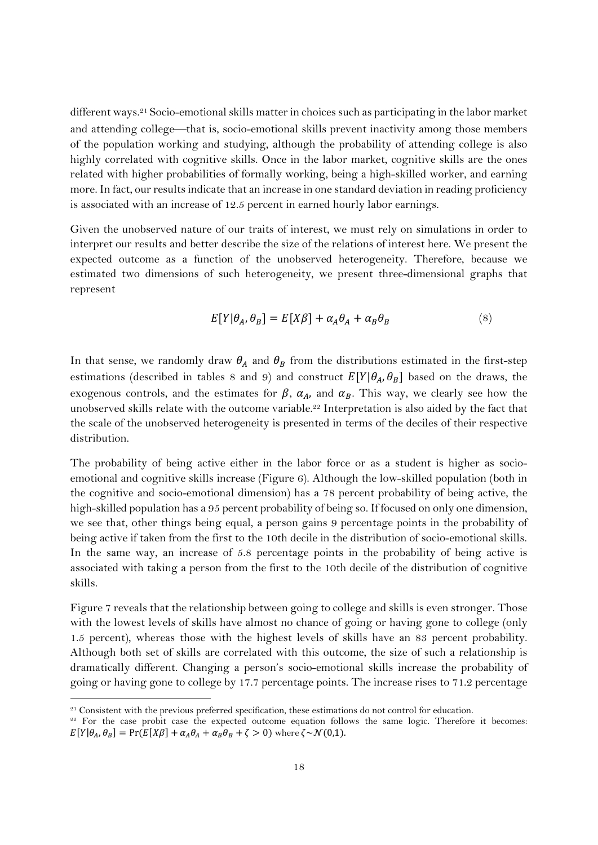different ways.21 Socio-emotional skills matter in choices such as participating in the labor market and attending college—that is, socio-emotional skills prevent inactivity among those members of the population working and studying, although the probability of attending college is also highly correlated with cognitive skills. Once in the labor market, cognitive skills are the ones related with higher probabilities of formally working, being a high-skilled worker, and earning more. In fact, our results indicate that an increase in one standard deviation in reading proficiency is associated with an increase of 12.5 percent in earned hourly labor earnings.

Given the unobserved nature of our traits of interest, we must rely on simulations in order to interpret our results and better describe the size of the relations of interest here. We present the expected outcome as a function of the unobserved heterogeneity. Therefore, because we estimated two dimensions of such heterogeneity, we present three-dimensional graphs that represent

$$
E[Y|\theta_A, \theta_B] = E[X\beta] + \alpha_A \theta_A + \alpha_B \theta_B \tag{8}
$$

In that sense, we randomly draw  $\theta_A$  and  $\theta_B$  from the distributions estimated in the first-step estimations (described in tables 8 and 9) and construct  $E[Y|\theta_A, \theta_B]$  based on the draws, the exogenous controls, and the estimates for  $\beta$ ,  $\alpha_A$ , and  $\alpha_B$ . This way, we clearly see how the unobserved skills relate with the outcome variable.<sup>22</sup> Interpretation is also aided by the fact that the scale of the unobserved heterogeneity is presented in terms of the deciles of their respective distribution.

The probability of being active either in the labor force or as a student is higher as socioemotional and cognitive skills increase (Figure 6). Although the low-skilled population (both in the cognitive and socio-emotional dimension) has a 78 percent probability of being active, the high-skilled population has a 95 percent probability of being so. If focused on only one dimension, we see that, other things being equal, a person gains 9 percentage points in the probability of being active if taken from the first to the 10th decile in the distribution of socio-emotional skills. In the same way, an increase of 5.8 percentage points in the probability of being active is associated with taking a person from the first to the 10th decile of the distribution of cognitive skills.

Figure 7 reveals that the relationship between going to college and skills is even stronger. Those with the lowest levels of skills have almost no chance of going or having gone to college (only 1.5 percent), whereas those with the highest levels of skills have an 83 percent probability. Although both set of skills are correlated with this outcome, the size of such a relationship is dramatically different. Changing a person's socio-emotional skills increase the probability of going or having gone to college by 17.7 percentage points. The increase rises to 71.2 percentage

-

<sup>&</sup>lt;sup>21</sup> Consistent with the previous preferred specification, these estimations do not control for education.<br><sup>22</sup> For the case probit case the expected outcome equation follows the same logic. Therefore it becomes:

 $E[Y|\theta_A, \theta_B] = Pr(E[X\beta] + \alpha_A\theta_A + \alpha_B\theta_B + \zeta > 0)$  where  $\zeta \sim \mathcal{N}(0,1)$ .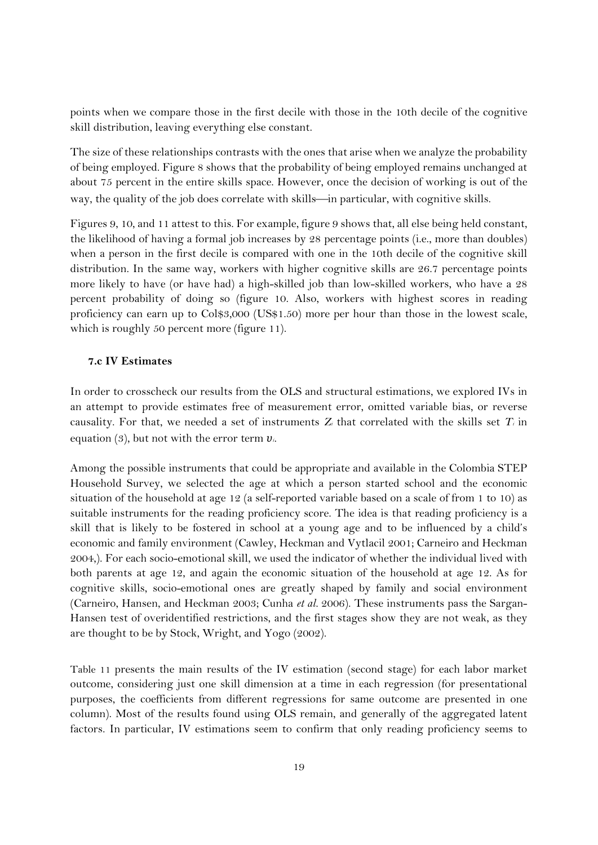points when we compare those in the first decile with those in the 10th decile of the cognitive skill distribution, leaving everything else constant.

The size of these relationships contrasts with the ones that arise when we analyze the probability of being employed. Figure 8 shows that the probability of being employed remains unchanged at about 75 percent in the entire skills space. However, once the decision of working is out of the way, the quality of the job does correlate with skills—in particular, with cognitive skills.

Figures 9, 10, and 11 attest to this. For example, figure 9 shows that, all else being held constant, the likelihood of having a formal job increases by 28 percentage points (i.e., more than doubles) when a person in the first decile is compared with one in the 10th decile of the cognitive skill distribution. In the same way, workers with higher cognitive skills are 26.7 percentage points more likely to have (or have had) a high-skilled job than low-skilled workers, who have a 28 percent probability of doing so (figure 10. Also, workers with highest scores in reading proficiency can earn up to Col\$3,000 (US\$1.50) more per hour than those in the lowest scale, which is roughly 50 percent more (figure 11).

#### **7.c IV Estimates**

In order to crosscheck our results from the OLS and structural estimations, we explored IVs in an attempt to provide estimates free of measurement error, omitted variable bias, or reverse causality. For that, we needed a set of instruments *Zi* that correlated with the skills set *Ti* in equation (3), but not with the error term *υi.*

Among the possible instruments that could be appropriate and available in the Colombia STEP Household Survey, we selected the age at which a person started school and the economic situation of the household at age 12 (a self-reported variable based on a scale of from 1 to 10) as suitable instruments for the reading proficiency score. The idea is that reading proficiency is a skill that is likely to be fostered in school at a young age and to be influenced by a child's economic and family environment (Cawley, Heckman and Vytlacil 2001; Carneiro and Heckman 2004,). For each socio-emotional skill, we used the indicator of whether the individual lived with both parents at age 12, and again the economic situation of the household at age 12. As for cognitive skills, socio-emotional ones are greatly shaped by family and social environment (Carneiro, Hansen, and Heckman 2003; Cunha *et al.* 2006). These instruments pass the Sargan-Hansen test of overidentified restrictions, and the first stages show they are not weak, as they are thought to be by Stock, Wright, and Yogo (2002).

Table 11 presents the main results of the IV estimation (second stage) for each labor market outcome, considering just one skill dimension at a time in each regression (for presentational purposes, the coefficients from different regressions for same outcome are presented in one column). Most of the results found using OLS remain, and generally of the aggregated latent factors. In particular, IV estimations seem to confirm that only reading proficiency seems to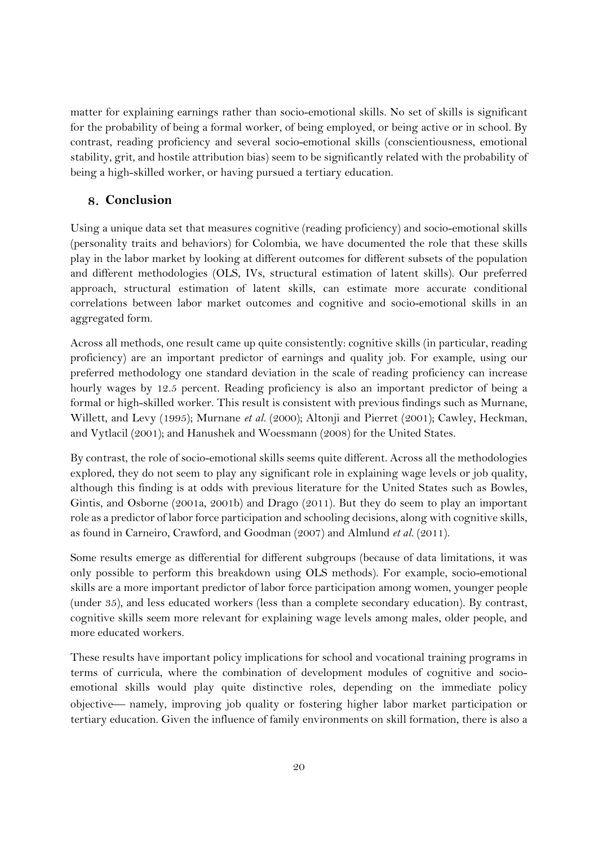matter for explaining earnings rather than socio-emotional skills. No set of skills is significant for the probability of being a formal worker, of being employed, or being active or in school. By contrast, reading proficiency and several socio-emotional skills (conscientiousness, emotional stability, grit, and hostile attribution bias) seem to be significantly related with the probability of being a high-skilled worker, or having pursued a tertiary education.

# **Conclusion**

Using a unique data set that measures cognitive (reading proficiency) and socio-emotional skills (personality traits and behaviors) for Colombia, we have documented the role that these skills play in the labor market by looking at different outcomes for different subsets of the population and different methodologies (OLS, IVs, structural estimation of latent skills). Our preferred approach, structural estimation of latent skills, can estimate more accurate conditional correlations between labor market outcomes and cognitive and socio-emotional skills in an aggregated form.

Across all methods, one result came up quite consistently: cognitive skills (in particular, reading proficiency) are an important predictor of earnings and quality job. For example, using our preferred methodology one standard deviation in the scale of reading proficiency can increase hourly wages by 12.5 percent. Reading proficiency is also an important predictor of being a formal or high-skilled worker. This result is consistent with previous findings such as Murnane, Willett, and Levy (1995); Murnane *et al.* (2000); Altonji and Pierret (2001); Cawley, Heckman, and Vytlacil (2001); and Hanushek and Woessmann (2008) for the United States.

By contrast, the role of socio-emotional skills seems quite different. Across all the methodologies explored, they do not seem to play any significant role in explaining wage levels or job quality, although this finding is at odds with previous literature for the United States such as Bowles, Gintis, and Osborne (2001a, 2001b) and Drago (2011). But they do seem to play an important role as a predictor of labor force participation and schooling decisions, along with cognitive skills, as found in Carneiro, Crawford, and Goodman (2007) and Almlund *et al.* (2011).

Some results emerge as differential for different subgroups (because of data limitations, it was only possible to perform this breakdown using OLS methods). For example, socio-emotional skills are a more important predictor of labor force participation among women, younger people (under 35), and less educated workers (less than a complete secondary education). By contrast, cognitive skills seem more relevant for explaining wage levels among males, older people, and more educated workers.

These results have important policy implications for school and vocational training programs in terms of curricula, where the combination of development modules of cognitive and socioemotional skills would play quite distinctive roles, depending on the immediate policy objective- namely, improving job quality or fostering higher labor market participation or tertiary education. Given the influence of family environments on skill formation, there is also a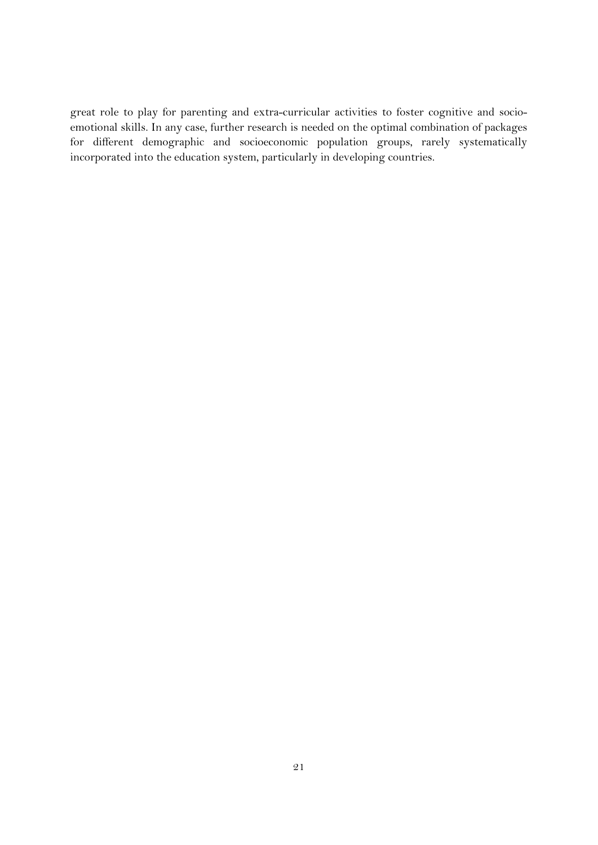great role to play for parenting and extra-curricular activities to foster cognitive and socioemotional skills. In any case, further research is needed on the optimal combination of packages for different demographic and socioeconomic population groups, rarely systematically incorporated into the education system, particularly in developing countries.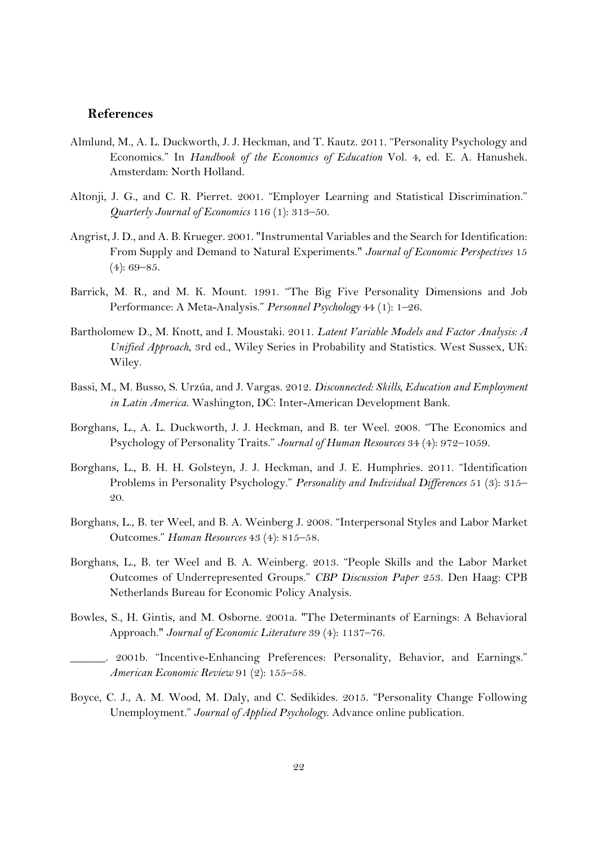#### **References**

- Almlund, M., A. L. Duckworth, J. J. Heckman, and T. Kautz. 2011. "Personality Psychology and Economics." In *Handbook of the Economics of Education* Vol. 4, ed. E. A. Hanushek. Amsterdam: North Holland.
- Altonji, J. G., and C. R. Pierret. 2001. "Employer Learning and Statistical Discrimination." *Quarterly Journal of Economics* 116 (1): 313–50.
- Angrist, J. D., and A. B. Krueger. 2001. "Instrumental Variables and the Search for Identification: From Supply and Demand to Natural Experiments." *Journal of Economic Perspectives* 15  $(4): 69 - 85.$
- Barrick, M. R., and M. K. Mount. 1991. "The Big Five Personality Dimensions and Job Performance: A Meta-Analysis." *Personnel Psychology* 44 (1): 1–26.
- Bartholomew D., M. Knott, and I. Moustaki. 2011. *Latent Variable Models and Factor Analysis: A Unified Approach*, 3rd ed., Wiley Series in Probability and Statistics. West Sussex, UK: Wiley.
- Bassi, M., M. Busso, S. Urzúa, and J. Vargas. 2012. *Disconnected: Skills, Education and Employment in Latin America*. Washington, DC: Inter-American Development Bank.
- Borghans, L., A. L. Duckworth, J. J. Heckman, and B. ter Weel. 2008. "The Economics and Psychology of Personality Traits." *Journal of Human Resources* 34 (4): 972–1059.
- Borghans, L., B. H. H. Golsteyn, J. J. Heckman, and J. E. Humphries. 2011. "Identification Problems in Personality Psychology." *Personality and Individual Differences* 51 (3): 315– 20.
- Borghans, L., B. ter Weel, and B. A. Weinberg J. 2008. "Interpersonal Styles and Labor Market Outcomes." *Human Resources* 43 (4): 815–58.
- Borghans, L., B. ter Weel and B. A. Weinberg. 2013. "People Skills and the Labor Market Outcomes of Underrepresented Groups." *CBP Discussion Paper* 253. Den Haag: CPB Netherlands Bureau for Economic Policy Analysis.
- Bowles, S., H. Gintis, and M. Osborne. 2001a. "The Determinants of Earnings: A Behavioral Approach." *Journal of Economic Literature* 39 (4): 1137–76.
- 2001b. "Incentive-Enhancing Preferences: Personality, Behavior, and Earnings." *American Economic Review* 91 (2): 155–58.
- Boyce, C. J., A. M. Wood, M. Daly, and C. Sedikides. 2015. "Personality Change Following Unemployment." *Journal of Applied Psychology*. Advance online publication.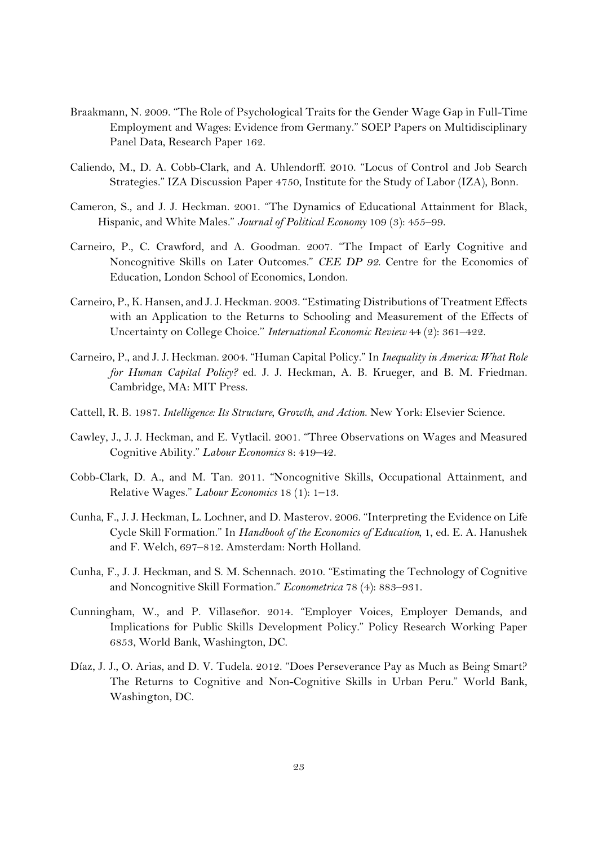- Braakmann, N. 2009. "The Role of Psychological Traits for the Gender Wage Gap in Full-Time Employment and Wages: Evidence from Germany." SOEP Papers on Multidisciplinary Panel Data, Research Paper 162.
- Caliendo, M., D. A. Cobb-Clark, and A. Uhlendorff. 2010. "Locus of Control and Job Search Strategies." IZA Discussion Paper 4750, Institute for the Study of Labor (IZA), Bonn.
- Cameron, S., and J. J. Heckman. 2001. "The Dynamics of Educational Attainment for Black, Hispanic, and White Males." *Journal of Political Economy* 109 (3): 455–99.
- Carneiro, P., C. Crawford, and A. Goodman. 2007. "The Impact of Early Cognitive and Noncognitive Skills on Later Outcomes." *CEE DP 92*. Centre for the Economics of Education, London School of Economics, London.
- Carneiro, P., K. Hansen, and J. J. Heckman. 2003. ''Estimating Distributions of Treatment Effects with an Application to the Returns to Schooling and Measurement of the Effects of Uncertainty on College Choice.'' *International Economic Review* 44 (2): 361–422.
- Carneiro, P., and J. J. Heckman. 2004. "Human Capital Policy." In *Inequality in America: What Role for Human Capital Policy?* ed. J. J. Heckman, A. B. Krueger, and B. M. Friedman. Cambridge, MA: MIT Press.
- Cattell, R. B. 1987. *Intelligence: Its Structure, Growth, and Action*. New York: Elsevier Science.
- Cawley, J., J. J. Heckman, and E. Vytlacil. 2001. "Three Observations on Wages and Measured Cognitive Ability." *Labour Economics* 8: 419–42.
- Cobb-Clark, D. A., and M. Tan. 2011. "Noncognitive Skills, Occupational Attainment, and Relative Wages." *Labour Economics* 18 (1): 1–13.
- Cunha, F., J. J. Heckman, L. Lochner, and D. Masterov. 2006. "Interpreting the Evidence on Life Cycle Skill Formation." In *Handbook of the Economics of Education,* 1, ed. E. A. Hanushek and F. Welch, 697–812. Amsterdam: North Holland.
- Cunha, F., J. J. Heckman, and S. M. Schennach. 2010. "Estimating the Technology of Cognitive and Noncognitive Skill Formation." *Econometrica* 78 (4): 883–931.
- Cunningham, W., and P. Villaseñor. 2014. "Employer Voices, Employer Demands, and Implications for Public Skills Development Policy." Policy Research Working Paper 6853, World Bank, Washington, DC.
- Díaz, J. J., O. Arias, and D. V. Tudela. 2012. "Does Perseverance Pay as Much as Being Smart? The Returns to Cognitive and Non-Cognitive Skills in Urban Peru." World Bank, Washington, DC.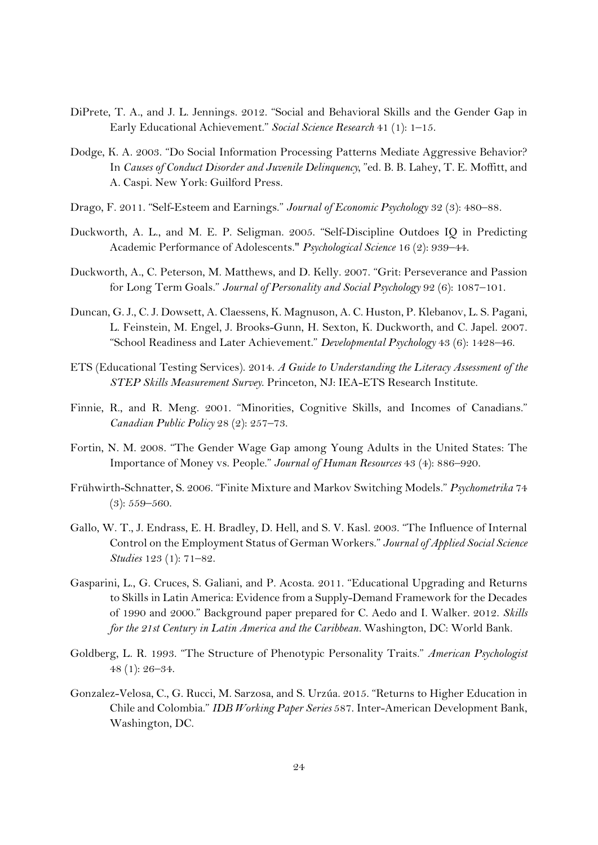- DiPrete, T. A., and J. L. Jennings. 2012. "Social and Behavioral Skills and the Gender Gap in Early Educational Achievement." *Social Science Research* 41 (1): 1–15.
- Dodge, K. A. 2003. "Do Social Information Processing Patterns Mediate Aggressive Behavior? In *Causes of Conduct Disorder and Juvenile Delinquency*, "ed. B. B. Lahey, T. E. Moffitt, and A. Caspi. New York: Guilford Press.
- Drago, F. 2011. "Self-Esteem and Earnings." *Journal of Economic Psychology* 32 (3): 480–88.
- Duckworth, A. L., and M. E. P. Seligman. 2005. "Self-Discipline Outdoes IQ in Predicting Academic Performance of Adolescents." *Psychological Science* 16 (2): 939–44.
- Duckworth, A., C. Peterson, M. Matthews, and D. Kelly. 2007. "Grit: Perseverance and Passion for Long Term Goals." *Journal of Personality and Social Psychology* 92 (6): 1087–101.
- Duncan, G. J., C. J. Dowsett, A. Claessens, K. Magnuson, A. C. Huston, P. Klebanov, L. S. Pagani, L. Feinstein, M. Engel, J. Brooks-Gunn, H. Sexton, K. Duckworth, and C. Japel. 2007. "School Readiness and Later Achievement." *Developmental Psychology* 43 (6): 1428–46.
- ETS (Educational Testing Services). 2014. *A Guide to Understanding the Literacy Assessment of the STEP Skills Measurement Survey*. Princeton, NJ: IEA-ETS Research Institute.
- Finnie, R., and R. Meng. 2001. "Minorities, Cognitive Skills, and Incomes of Canadians." *Canadian Public Policy* 28 (2): 257–73.
- Fortin, N. M. 2008. "The Gender Wage Gap among Young Adults in the United States: The Importance of Money vs. People." *Journal of Human Resources* 43 (4): 886–920.
- Frühwirth-Schnatter, S. 2006. "Finite Mixture and Markov Switching Models." *Psychometrika* 74 (3): 559–560.
- Gallo, W. T., J. Endrass, E. H. Bradley, D. Hell, and S. V. Kasl. 2003. "The Influence of Internal Control on the Employment Status of German Workers." *Journal of Applied Social Science Studies* 123 (1): 71–82.
- Gasparini, L., G. Cruces, S. Galiani, and P. Acosta. 2011. "Educational Upgrading and Returns to Skills in Latin America: Evidence from a Supply-Demand Framework for the Decades of 1990 and 2000." Background paper prepared for C. Aedo and I. Walker. 2012. *Skills for the 21st Century in Latin America and the Caribbean.* Washington, DC: World Bank.
- Goldberg, L. R. 1993. "The Structure of Phenotypic Personality Traits." *American Psychologist* 48 (1): 26–34.
- Gonzalez-Velosa, C., G. Rucci, M. Sarzosa, and S. Urzúa. 2015. "Returns to Higher Education in Chile and Colombia." *IDB Working Paper Series* 587. Inter-American Development Bank, Washington, DC.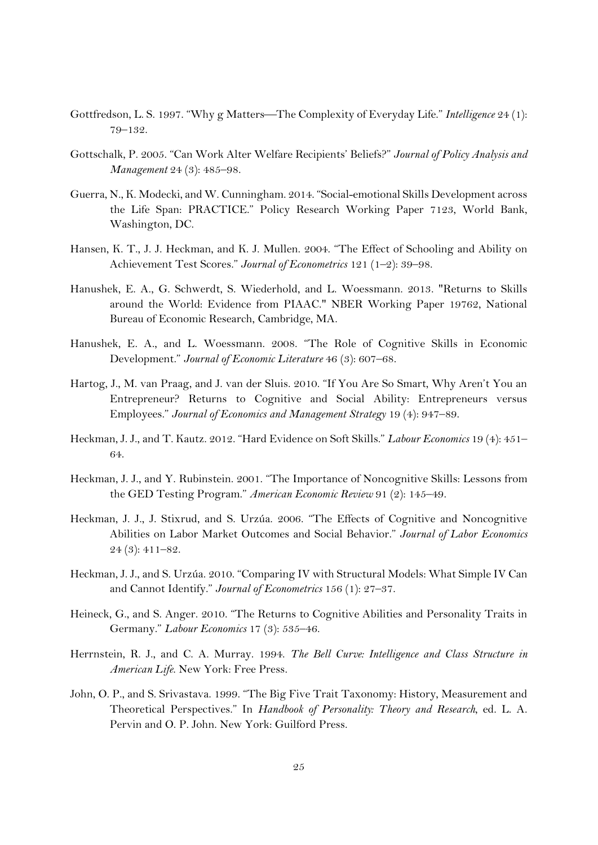- Gottfredson, L. S. 1997. "Why g Matters-The Complexity of Everyday Life." *Intelligence* 24 (1): 79–132.
- Gottschalk, P. 2005. "Can Work Alter Welfare Recipients' Beliefs?" *Journal of Policy Analysis and Management* 24 (3): 485–98.
- Guerra, N., K. Modecki, and W. Cunningham. 2014. "Social-emotional Skills Development across the Life Span: PRACTICE." Policy Research Working Paper 7123, World Bank, Washington, DC.
- Hansen, K. T., J. J. Heckman, and K. J. Mullen. 2004. "The Effect of Schooling and Ability on Achievement Test Scores." *Journal of Econometrics* 121 (1–2): 39–98.
- Hanushek, E. A., G. Schwerdt, S. Wiederhold, and L. Woessmann. 2013. "Returns to Skills around the World: Evidence from PIAAC." NBER Working Paper 19762, National Bureau of Economic Research, Cambridge, MA.
- Hanushek, E. A., and L. Woessmann. 2008. "The Role of Cognitive Skills in Economic Development." *Journal of Economic Literature* 46 (3): 607–68.
- Hartog, J., M. van Praag, and J. van der Sluis. 2010. "If You Are So Smart, Why Aren't You an Entrepreneur? Returns to Cognitive and Social Ability: Entrepreneurs versus Employees." *Journal of Economics and Management Strategy* 19 (4): 947–89.
- Heckman, J. J., and T. Kautz. 2012. "Hard Evidence on Soft Skills." *Labour Economics* 19 (4): 451– 64.
- Heckman, J. J., and Y. Rubinstein. 2001. "The Importance of Noncognitive Skills: Lessons from the GED Testing Program." *American Economic Review* 91 (2): 145–49.
- Heckman, J. J., J. Stixrud, and S. Urzúa. 2006. "The Effects of Cognitive and Noncognitive Abilities on Labor Market Outcomes and Social Behavior." *Journal of Labor Economics* 24 (3): 411–82.
- Heckman, J. J., and S. Urzúa. 2010. "Comparing IV with Structural Models: What Simple IV Can and Cannot Identify." *Journal of Econometrics* 156 (1): 27–37.
- Heineck, G., and S. Anger. 2010. "The Returns to Cognitive Abilities and Personality Traits in Germany." *Labour Economics* 17 (3): 535–46.
- Herrnstein, R. J., and C. A. Murray. 1994. *The Bell Curve: Intelligence and Class Structure in American Life*. New York: Free Press.
- John, O. P., and S. Srivastava. 1999. "The Big Five Trait Taxonomy: History, Measurement and Theoretical Perspectives." In *Handbook of Personality: Theory and Research*, ed. L. A. Pervin and O. P. John. New York: Guilford Press.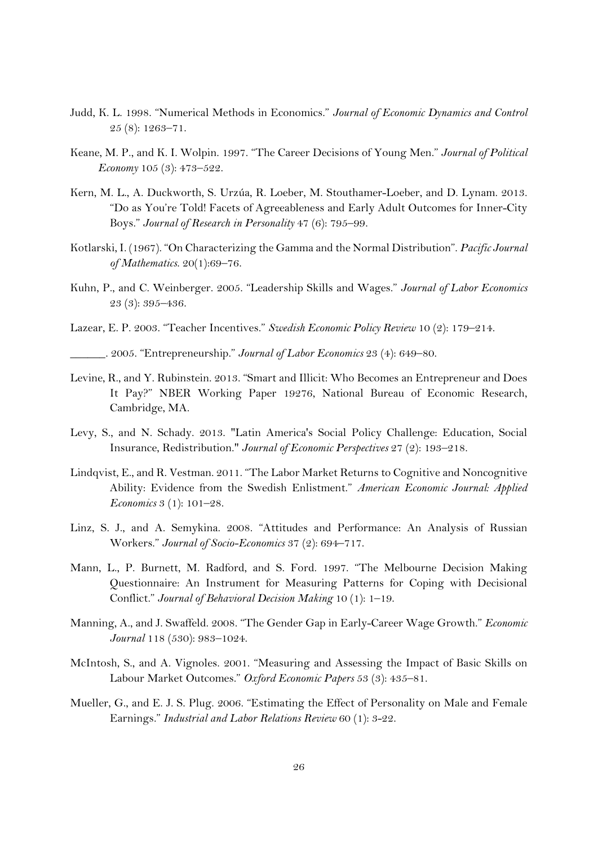- Judd, K. L. 1998. "Numerical Methods in Economics." *Journal of Economic Dynamics and Control* 25 (8): 1263–71.
- Keane, M. P., and K. I. Wolpin. 1997. "The Career Decisions of Young Men." *Journal of Political Economy* 105 (3): 473–522.
- Kern, M. L., A. Duckworth, S. Urzúa, R. Loeber, M. Stouthamer-Loeber, and D. Lynam. 2013. "Do as You're Told! Facets of Agreeableness and Early Adult Outcomes for Inner-City Boys." *Journal of Research in Personality* 47 (6): 795–99.
- Kotlarski, I. (1967). "On Characterizing the Gamma and the Normal Distribution". *Pacific Journal of Mathematics*. 20(1):69–76.
- Kuhn, P., and C. Weinberger. 2005. "Leadership Skills and Wages." *Journal of Labor Economics* 23 (3): 395–436.
- Lazear, E. P. 2003. "Teacher Incentives." *Swedish Economic Policy Review* 10 (2): 179–214.
- \_\_\_\_\_\_. 2005. "Entrepreneurship." *Journal of Labor Economics* 23 (4): 649–80.
- Levine, R., and Y. Rubinstein. 2013. "Smart and Illicit: Who Becomes an Entrepreneur and Does It Pay?" NBER Working Paper 19276, National Bureau of Economic Research, Cambridge, MA.
- Levy, S., and N. Schady. 2013. "Latin America's Social Policy Challenge: Education, Social Insurance, Redistribution." *Journal of Economic Perspectives* 27 (2): 193–218.
- Lindqvist, E., and R. Vestman. 2011. "The Labor Market Returns to Cognitive and Noncognitive Ability: Evidence from the Swedish Enlistment." *American Economic Journal: Applied Economics* 3 (1): 101–28.
- Linz, S. J., and A. Semykina. 2008. "Attitudes and Performance: An Analysis of Russian Workers." *Journal of Socio-Economics* 37 (2): 694–717.
- Mann, L., P. Burnett, M. Radford, and S. Ford. 1997. "The Melbourne Decision Making Questionnaire: An Instrument for Measuring Patterns for Coping with Decisional Conflict." *Journal of Behavioral Decision Making* 10 (1): 1–19.
- Manning, A., and J. Swaffeld. 2008. "The Gender Gap in Early-Career Wage Growth." *Economic Journal* 118 (530): 983–1024.
- McIntosh, S., and A. Vignoles. 2001. "Measuring and Assessing the Impact of Basic Skills on Labour Market Outcomes." *Oxford Economic Papers* 53 (3): 435–81.
- Mueller, G., and E. J. S. Plug. 2006. "Estimating the Effect of Personality on Male and Female Earnings." *Industrial and Labor Relations Review* 60 (1): 3-22.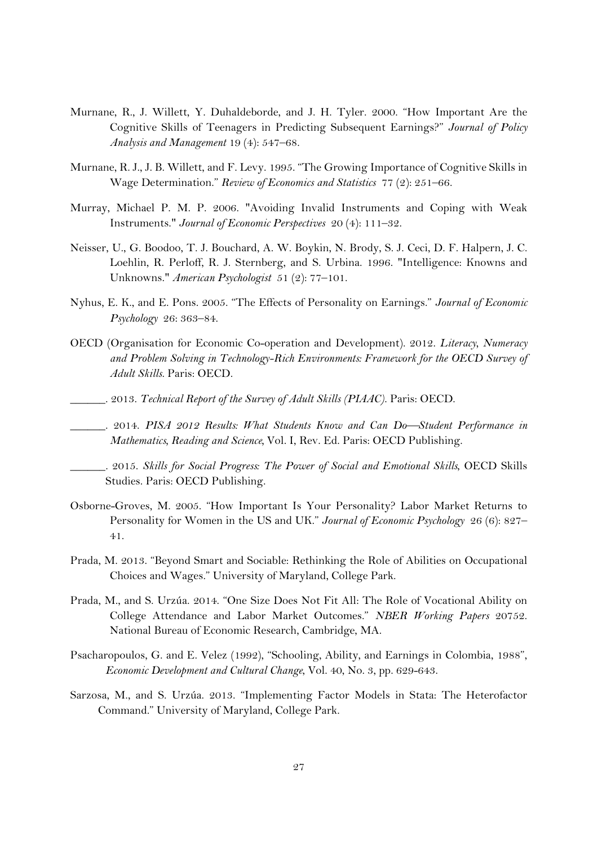- Murnane, R., J. Willett, Y. Duhaldeborde, and J. H. Tyler. 2000. "How Important Are the Cognitive Skills of Teenagers in Predicting Subsequent Earnings?" *Journal of Policy Analysis and Management* 19 (4): 547–68.
- Murnane, R. J., J. B. Willett, and F. Levy. 1995. "The Growing Importance of Cognitive Skills in Wage Determination." *Review of Economics and Statistics* 77 (2): 251–66.
- Murray, Michael P. M. P. 2006. "Avoiding Invalid Instruments and Coping with Weak Instruments." *Journal of Economic Perspectives* 20 (4): 111–32.
- Neisser, U., G. Boodoo, T. J. Bouchard, A. W. Boykin, N. Brody, S. J. Ceci, D. F. Halpern, J. C. Loehlin, R. Perloff, R. J. Sternberg, and S. Urbina. 1996. "Intelligence: Knowns and Unknowns." *American Psychologist* 51 (2): 77–101.
- Nyhus, E. K., and E. Pons. 2005. "The Effects of Personality on Earnings." *Journal of Economic Psychology* 26: 363–84.
- OECD (Organisation for Economic Co-operation and Development). 2012. *Literacy, Numeracy and Problem Solving in Technology-Rich Environments: Framework for the OECD Survey of Adult Skills*. Paris: OECD.
- \_\_\_\_\_\_. 2013. *Technical Report of the Survey of Adult Skills (PIAAC)*. Paris: OECD.
- \_\_\_\_\_\_. 2014. *PISA 2012 Results: What Students Know and Can DoStudent Performance in Mathematics, Reading and Science,* Vol. I, Rev. Ed. Paris: OECD Publishing.
- \_\_\_\_\_\_. 2015. *Skills for Social Progress: The Power of Social and Emotional Skills*, OECD Skills Studies. Paris: OECD Publishing.
- Osborne-Groves, M. 2005. "How Important Is Your Personality? Labor Market Returns to Personality for Women in the US and UK." *Journal of Economic Psychology* 26 (6): 827– 41.
- Prada, M. 2013. "Beyond Smart and Sociable: Rethinking the Role of Abilities on Occupational Choices and Wages." University of Maryland, College Park.
- Prada, M., and S. Urzúa. 2014. "One Size Does Not Fit All: The Role of Vocational Ability on College Attendance and Labor Market Outcomes." *NBER Working Papers* 20752. National Bureau of Economic Research, Cambridge, MA.
- Psacharopoulos, G. and E. Velez (1992), "Schooling, Ability, and Earnings in Colombia, 1988", *Economic Development and Cultural Change*, Vol. 40, No. 3, pp. 629-643.
- Sarzosa, M., and S. Urzúa. 2013. "Implementing Factor Models in Stata: The Heterofactor Command." University of Maryland, College Park.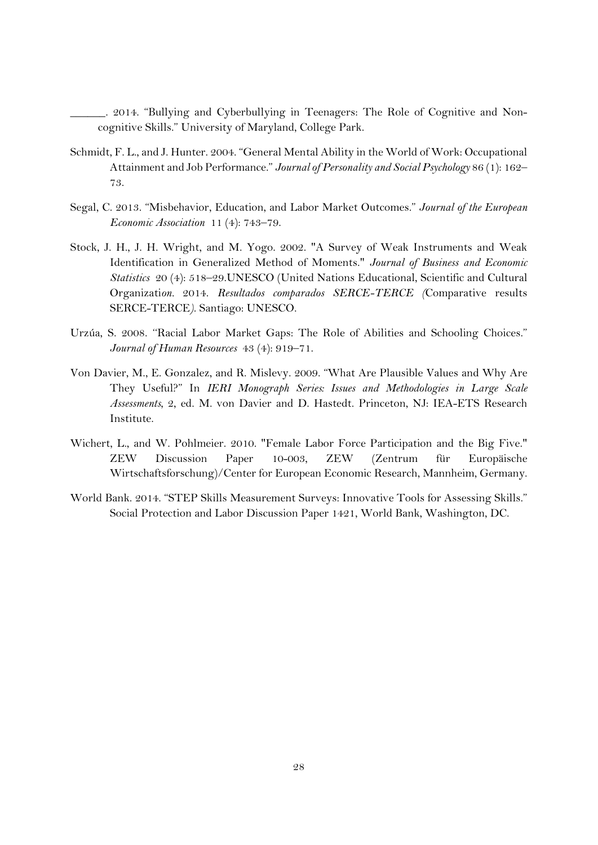2014. "Bullying and Cyberbullying in Teenagers: The Role of Cognitive and Noncognitive Skills." University of Maryland, College Park.

- Schmidt, F. L., and J. Hunter. 2004. "General Mental Ability in the World of Work: Occupational Attainment and Job Performance." *Journal of Personality and Social Psychology* 86 (1): 162– 73.
- Segal, C. 2013. "Misbehavior, Education, and Labor Market Outcomes." *Journal of the European Economic Association* 11 (4): 743–79.
- Stock, J. H., J. H. Wright, and M. Yogo. 2002. "A Survey of Weak Instruments and Weak Identification in Generalized Method of Moments." *Journal of Business and Economic Statistics* 20 (4): 518–29.UNESCO (United Nations Educational, Scientific and Cultural Organizati*on.* 2014. *Resultados comparados SERCE-TERCE (*Comparative results SERCE-TERCE*)*. Santiago: UNESCO.
- Urzúa, S. 2008. ''Racial Labor Market Gaps: The Role of Abilities and Schooling Choices." *Journal of Human Resources* 43 (4): 919–71.
- Von Davier, M., E. Gonzalez, and R. Mislevy. 2009. "What Are Plausible Values and Why Are They Useful?" In *IERI Monograph Series: Issues and Methodologies in Large Scale Assessments*, 2, ed. M. von Davier and D. Hastedt. Princeton, NJ: IEA-ETS Research Institute.
- Wichert, L., and W. Pohlmeier. 2010. "Female Labor Force Participation and the Big Five." ZEW Discussion Paper 10-003, ZEW (Zentrum für Europäische Wirtschaftsforschung)/Center for European Economic Research, Mannheim, Germany.
- World Bank. 2014. "STEP Skills Measurement Surveys: Innovative Tools for Assessing Skills." Social Protection and Labor Discussion Paper 1421, World Bank, Washington, DC.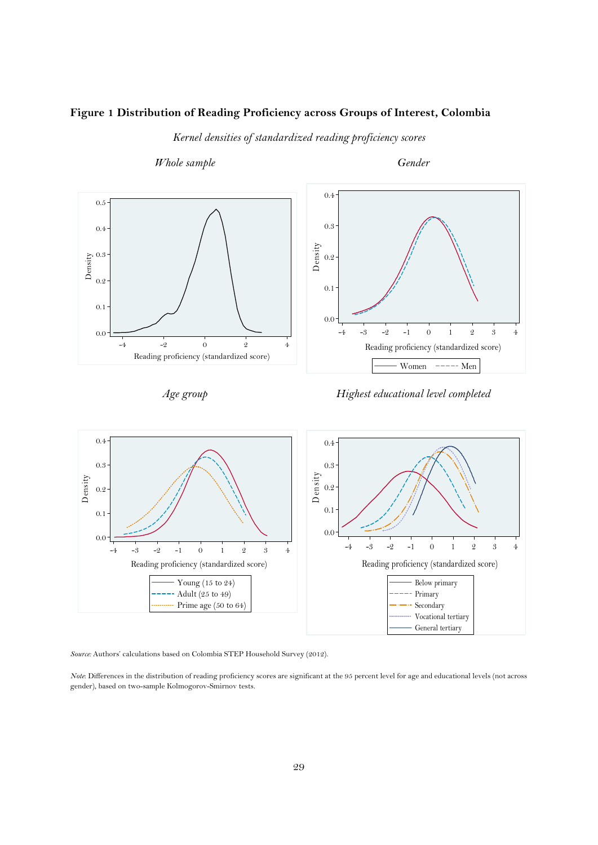## **Figure 1 Distribution of Reading Proficiency across Groups of Interest, Colombia**

*Kernel densities of standardized reading proficiency scores* 







*Source:* Authors' calculations based on Colombia STEP Household Survey (2012).

*Note*: Differences in the distribution of reading proficiency scores are significant at the 95 percent level for age and educational levels (not across gender), based on two-sample Kolmogorov-Smirnov tests.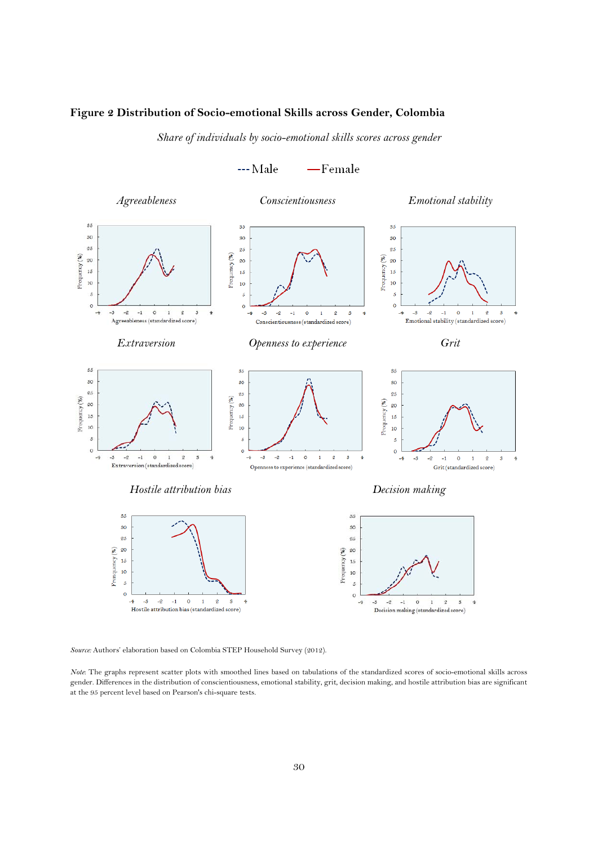#### **Figure 2 Distribution of Socio-emotional Skills across Gender, Colombia**

*Share of individuals by socio-emotional skills scores across gender* 



*Source:* Authors' elaboration based on Colombia STEP Household Survey (2012).

*Note*: The graphs represent scatter plots with smoothed lines based on tabulations of the standardized scores of socio-emotional skills across gender. Differences in the distribution of conscientiousness, emotional stability, grit, decision making, and hostile attribution bias are significant at the 95 percent level based on Pearson's chi-square tests.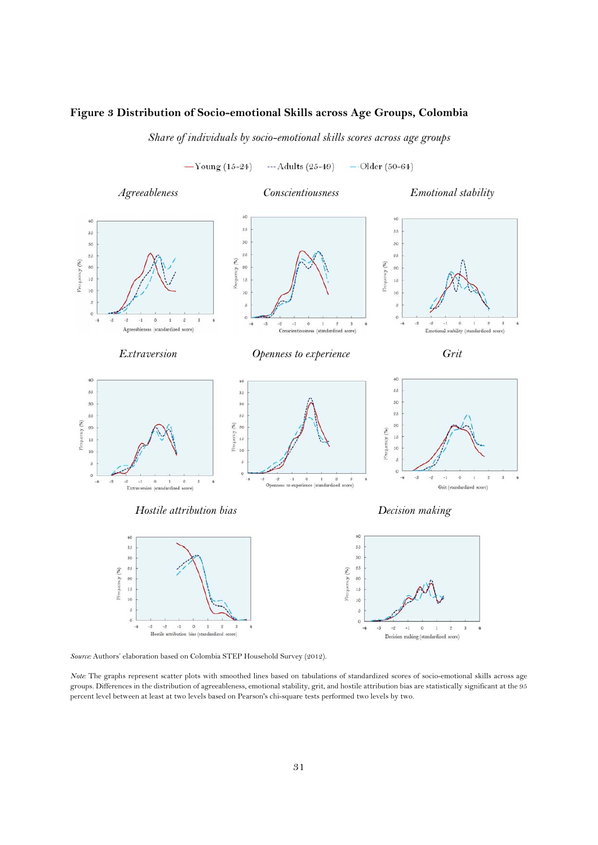#### **Figure 3 Distribution of Socio-emotional Skills across Age Groups, Colombia**

*Share of individuals by socio-emotional skills scores across age groups* 

 $-\mathrm{Young}(15-24)$  $-$ -Adults (25-49)  $-$ Older (50-64)



*Source:* Authors' elaboration based on Colombia STEP Household Survey (2012).

*Note:* The graphs represent scatter plots with smoothed lines based on tabulations of standardized scores of socio-emotional skills across age groups. Differences in the distribution of agreeableness, emotional stability, grit, and hostile attribution bias are statistically significant at the 95 percent level between at least at two levels based on Pearson's chi-square tests performed two levels by two.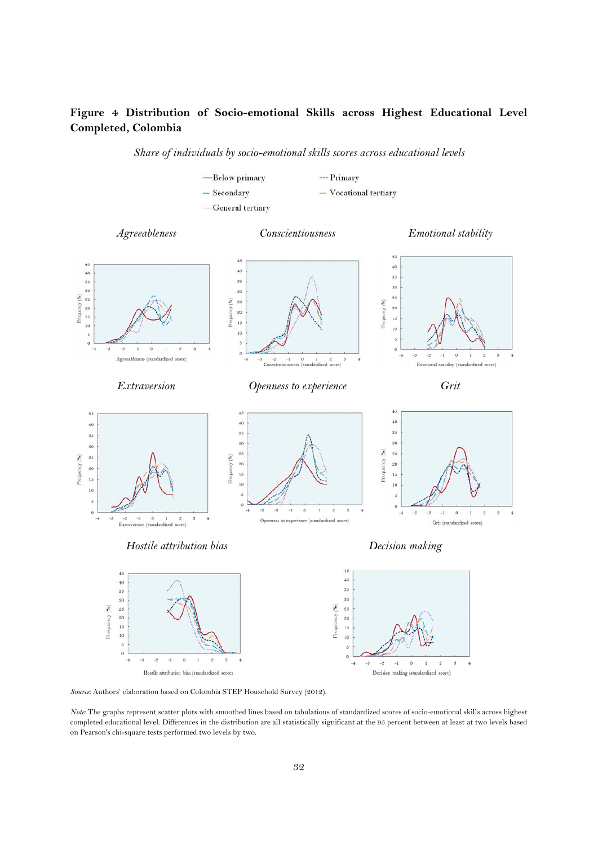# **Figure 4 Distribution of Socio-emotional Skills across Highest Educational Level Completed, Colombia**

*Share of individuals by socio-emotional skills scores across educational levels* 



*Source:* Authors' elaboration based on Colombia STEP Household Survey (2012).

*Note:* The graphs represent scatter plots with smoothed lines based on tabulations of standardized scores of socio-emotional skills across highest completed educational level. Differences in the distribution are all statistically significant at the 95 percent between at least at two levels based on Pearson's chi-square tests performed two levels by two.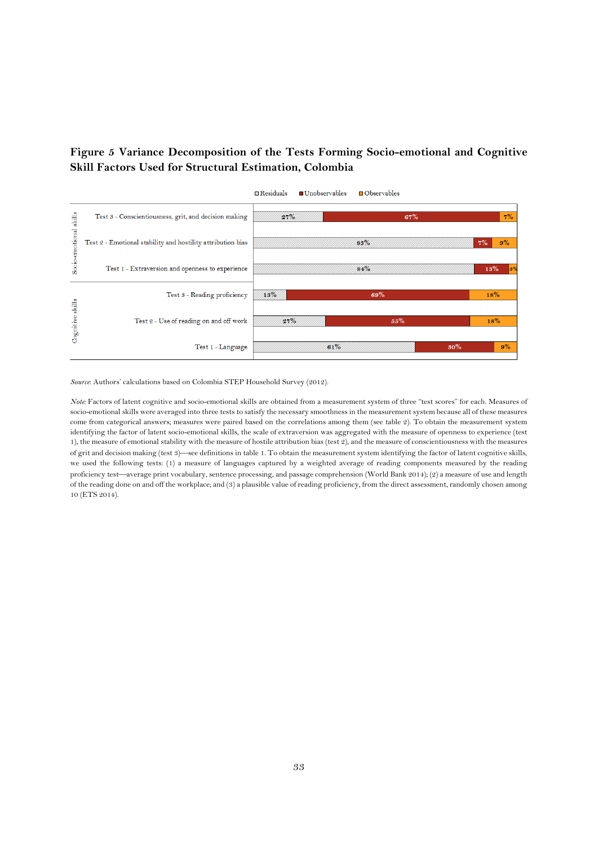# **Figure 5 Variance Decomposition of the Tests Forming Socio-emotional and Cognitive Skill Factors Used for Structural Estimation, Colombia**



*Source*: Authors' calculations based on Colombia STEP Household Survey (2012).

*Note:* Factors of latent cognitive and socio-emotional skills are obtained from a measurement system of three "test scores" for each. Measures of socio-emotional skills were averaged into three tests to satisfy the necessary smoothness in the measurement system because all of these measures come from categorical answers; measures were paired based on the correlations among them (see table 2). To obtain the measurement system identifying the factor of latent socio-emotional skills, the scale of extraversion was aggregated with the measure of openness to experience (test 1), the measure of emotional stability with the measure of hostile attribution bias (test 2), and the measure of conscientiousness with the measures of grit and decision making (test 3) see definitions in table 1. To obtain the measurement system identifying the factor of latent cognitive skills, we used the following tests: (1) a measure of languages captured by a weighted average of reading components measured by the reading proficiency test—average print vocabulary, sentence processing, and passage comprehension (World Bank 2014); (2) a measure of use and length of the reading done on and off the workplace; and (3) a plausible value of reading proficiency, from the direct assessment, randomly chosen among 10 (ETS 2014).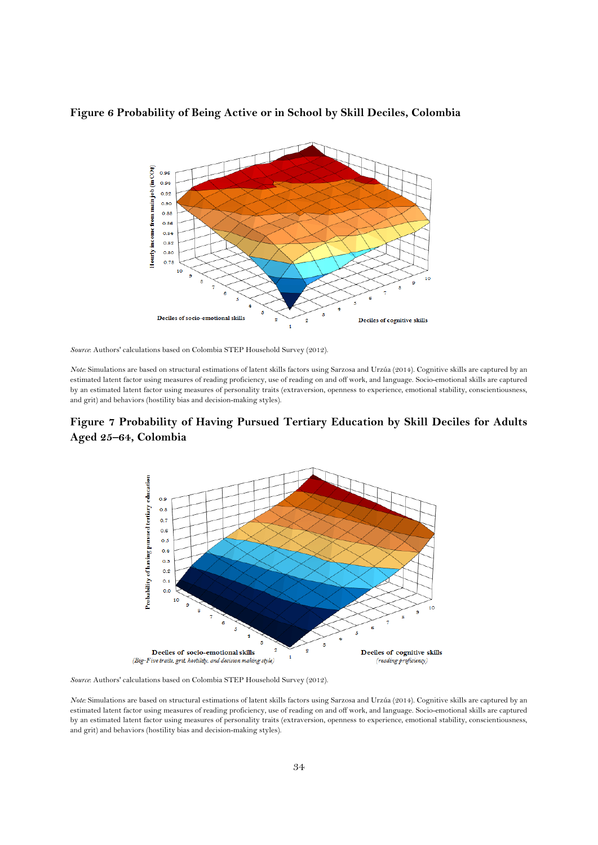

#### **Figure 6 Probability of Being Active or in School by Skill Deciles, Colombia**

*Source*: Authors' calculations based on Colombia STEP Household Survey (2012).

*Note:* Simulations are based on structural estimations of latent skills factors using Sarzosa and Urzúa (2014). Cognitive skills are captured by an estimated latent factor using measures of reading proficiency, use of reading on and off work, and language. Socio-emotional skills are captured by an estimated latent factor using measures of personality traits (extraversion, openness to experience, emotional stability, conscientiousness, and grit) and behaviors (hostility bias and decision-making styles).

# **Figure 7 Probability of Having Pursued Tertiary Education by Skill Deciles for Adults Aged 25–64, Colombia**



*Source*: Authors' calculations based on Colombia STEP Household Survey (2012).

*Note:* Simulations are based on structural estimations of latent skills factors using Sarzosa and Urzúa (2014). Cognitive skills are captured by an estimated latent factor using measures of reading proficiency, use of reading on and off work, and language. Socio-emotional skills are captured by an estimated latent factor using measures of personality traits (extraversion, openness to experience, emotional stability, conscientiousness, and grit) and behaviors (hostility bias and decision-making styles).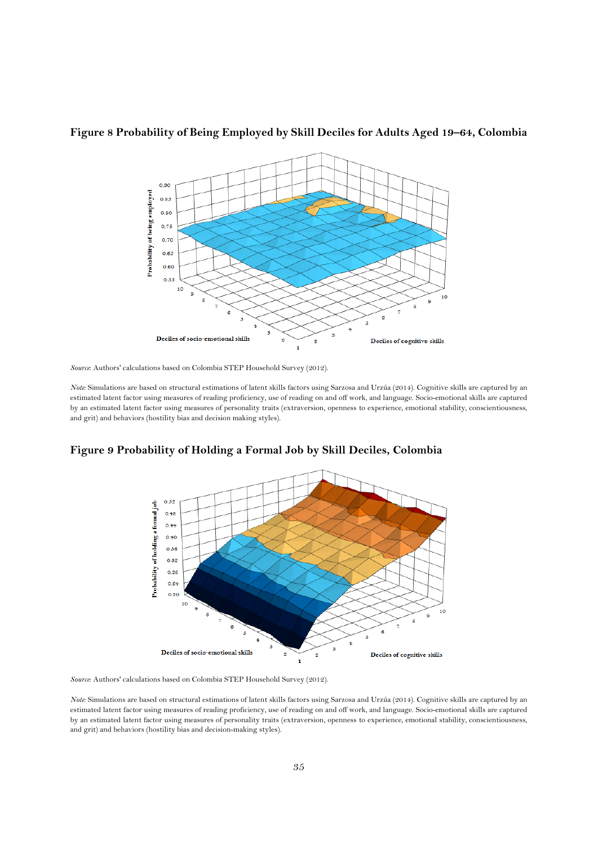

## **Figure 8 Probability of Being Employed by Skill Deciles for Adults Aged 19–64, Colombia**

*Source*: Authors' calculations based on Colombia STEP Household Survey (2012).

*Note:* Simulations are based on structural estimations of latent skills factors using Sarzosa and Urzúa (2014). Cognitive skills are captured by an estimated latent factor using measures of reading proficiency, use of reading on and off work, and language. Socio-emotional skills are captured by an estimated latent factor using measures of personality traits (extraversion, openness to experience, emotional stability, conscientiousness, and grit) and behaviors (hostility bias and decision making styles).



#### **Figure 9 Probability of Holding a Formal Job by Skill Deciles, Colombia**

*Source*: Authors' calculations based on Colombia STEP Household Survey (2012).

*Note:* Simulations are based on structural estimations of latent skills factors using Sarzosa and Urzúa (2014). Cognitive skills are captured by an estimated latent factor using measures of reading proficiency, use of reading on and off work, and language. Socio-emotional skills are captured by an estimated latent factor using measures of personality traits (extraversion, openness to experience, emotional stability, conscientiousness, and grit) and behaviors (hostility bias and decision-making styles).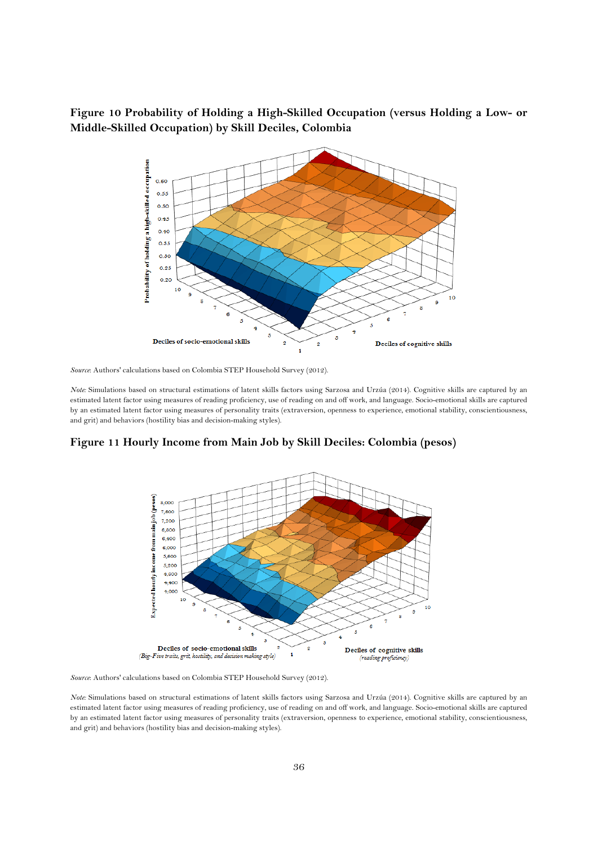## **Figure 10 Probability of Holding a High-Skilled Occupation (versus Holding a Low- or Middle-Skilled Occupation) by Skill Deciles, Colombia**



*Source*: Authors' calculations based on Colombia STEP Household Survey (2012).

*Note:* Simulations based on structural estimations of latent skills factors using Sarzosa and Urzúa (2014). Cognitive skills are captured by an estimated latent factor using measures of reading proficiency, use of reading on and off work, and language. Socio-emotional skills are captured by an estimated latent factor using measures of personality traits (extraversion, openness to experience, emotional stability, conscientiousness, and grit) and behaviors (hostility bias and decision-making styles).

**Figure 11 Hourly Income from Main Job by Skill Deciles: Colombia (pesos)** 



*Source*: Authors' calculations based on Colombia STEP Household Survey (2012).

*Note:* Simulations based on structural estimations of latent skills factors using Sarzosa and Urzúa (2014). Cognitive skills are captured by an estimated latent factor using measures of reading proficiency, use of reading on and off work, and language. Socio-emotional skills are captured by an estimated latent factor using measures of personality traits (extraversion, openness to experience, emotional stability, conscientiousness, and grit) and behaviors (hostility bias and decision-making styles).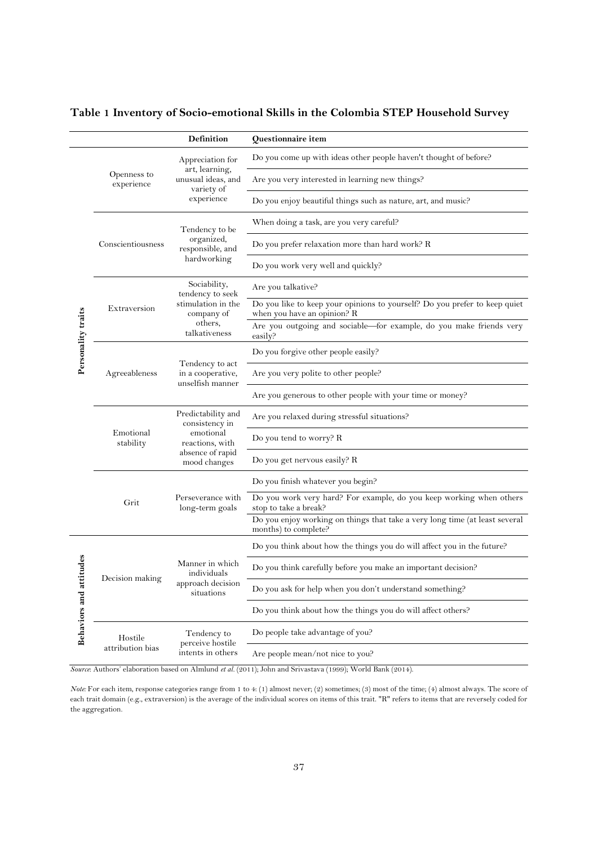|  |  | Table 1 Inventory of Socio-emotional Skills in the Colombia STEP Household Survey |
|--|--|-----------------------------------------------------------------------------------|
|  |  |                                                                                   |

|                    |                           | <b>Definition</b>                                        | Questionnaire item                                                                                        |
|--------------------|---------------------------|----------------------------------------------------------|-----------------------------------------------------------------------------------------------------------|
|                    |                           | Appreciation for                                         | Do you come up with ideas other people haven't thought of before?                                         |
|                    | Openness to<br>experience | art, learning,<br>unusual ideas, and<br>variety of       | Are you very interested in learning new things?                                                           |
|                    |                           | experience                                               | Do you enjoy beautiful things such as nature, art, and music?                                             |
|                    |                           | Tendency to be                                           | When doing a task, are you very careful?                                                                  |
|                    | Conscientiousness         | organized,<br>responsible, and                           | Do you prefer relaxation more than hard work? R                                                           |
|                    |                           | hardworking                                              | Do you work very well and quickly?                                                                        |
|                    |                           | Sociability,<br>tendency to seek                         | Are you talkative?                                                                                        |
|                    | Extraversion              | stimulation in the<br>company of                         | Do you like to keep your opinions to yourself? Do you prefer to keep quiet<br>when you have an opinion? R |
| Personality traits |                           | others,<br>talkativeness                                 | Are you outgoing and sociable-for example, do you make friends very<br>easily?                            |
|                    |                           |                                                          | Do you forgive other people easily?                                                                       |
|                    | Agreeableness             | Tendency to act<br>in a cooperative,<br>unselfish manner | Are you very polite to other people?                                                                      |
|                    |                           |                                                          | Are you generous to other people with your time or money?                                                 |
|                    |                           | Predictability and<br>consistency in                     | Are you relaxed during stressful situations?                                                              |
|                    | Emotional<br>stability    | emotional<br>reactions, with                             | Do you tend to worry? R                                                                                   |
|                    |                           | absence of rapid<br>mood changes                         | Do you get nervous easily? R                                                                              |
|                    |                           |                                                          | Do you finish whatever you begin?                                                                         |
|                    | Grit                      | Perseverance with<br>long-term goals                     | Do you work very hard? For example, do you keep working when others<br>stop to take a break?              |
|                    |                           |                                                          | Do you enjoy working on things that take a very long time (at least several<br>months) to complete?       |
|                    |                           |                                                          | Do you think about how the things you do will affect you in the future?                                   |
| itudes             | Decision making           | Manner in which<br>individuals                           | Do you think carefully before you make an important decision?                                             |
|                    |                           | approach decision<br>situations                          | Do you ask for help when you don't understand something?                                                  |
| Behaviors and atti |                           |                                                          | Do you think about how the things you do will affect others?                                              |
|                    | Hostile                   | Tendency to                                              | Do people take advantage of you?                                                                          |
|                    | attribution bias          | perceive hostile<br>intents in others                    | Are people mean/not nice to you?                                                                          |

*Source*: Authors' elaboration based on Almlund *et al.* (2011); John and Srivastava (1999); World Bank (2014).

*Note:* For each item, response categories range from 1 to 4: (1) almost never; (2) sometimes; (3) most of the time; (4) almost always. The score of each trait domain (e.g., extraversion) is the average of the individual scores on items of this trait. "R" refers to items that are reversely coded for the aggregation.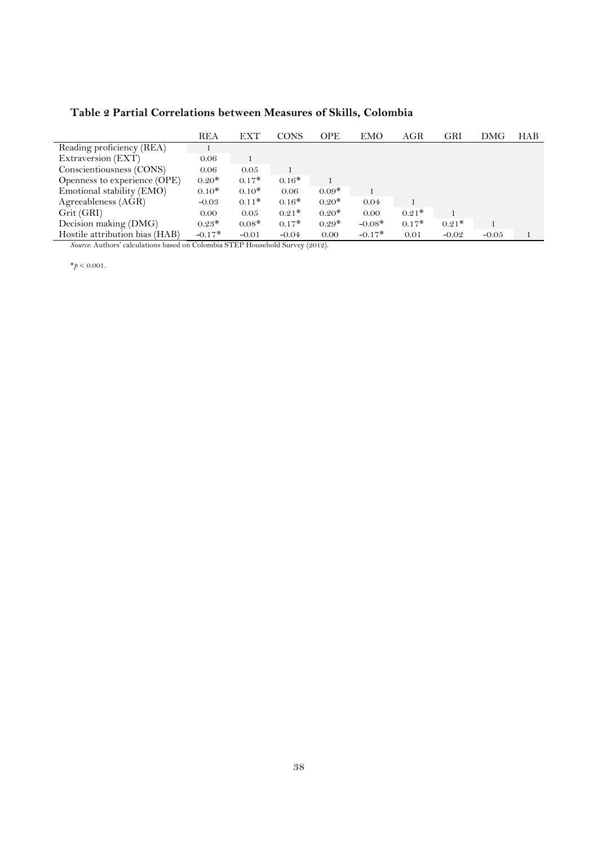# **Table 2 Partial Correlations between Measures of Skills, Colombia**

|                                | <b>REA</b> | <b>EXT</b> | <b>CONS</b> | <b>OPE</b> | <b>EMO</b> | AGR     | GRI     | DMG     | <b>HAB</b> |
|--------------------------------|------------|------------|-------------|------------|------------|---------|---------|---------|------------|
| Reading proficiency (REA)      |            |            |             |            |            |         |         |         |            |
| Extraversion (EXT)             | 0.06       |            |             |            |            |         |         |         |            |
| Conscientiousness (CONS)       | 0.06       | 0.05       |             |            |            |         |         |         |            |
| Openness to experience (OPE)   | $0.20*$    | $0.17*$    | $0.16*$     |            |            |         |         |         |            |
| Emotional stability (EMO)      | $0.10*$    | $0.10*$    | 0.06        | $0.09*$    |            |         |         |         |            |
| Agreeableness (AGR)            | $-0.03$    | $0.11*$    | $0.16*$     | $0.20*$    | 0.04       |         |         |         |            |
| Grit (GRI)                     | 0.00       | 0.05       | $0.21*$     | $0.20*$    | 0.00       | $0.21*$ |         |         |            |
| Decision making (DMG)          | $0.23*$    | $0.08*$    | $0.17*$     | $0.29*$    | $-0.08*$   | $0.17*$ | $0.21*$ |         |            |
| Hostile attribution bias (HAB) | $-0.17*$   | $-0.01$    | $-0.04$     | 0.00       | $-0.17*$   | 0.01    | $-0.02$ | $-0.05$ |            |

*Source*: Authors' calculations based on Colombia STEP Household Survey (2012).

 $*_{p}$  < 0.001.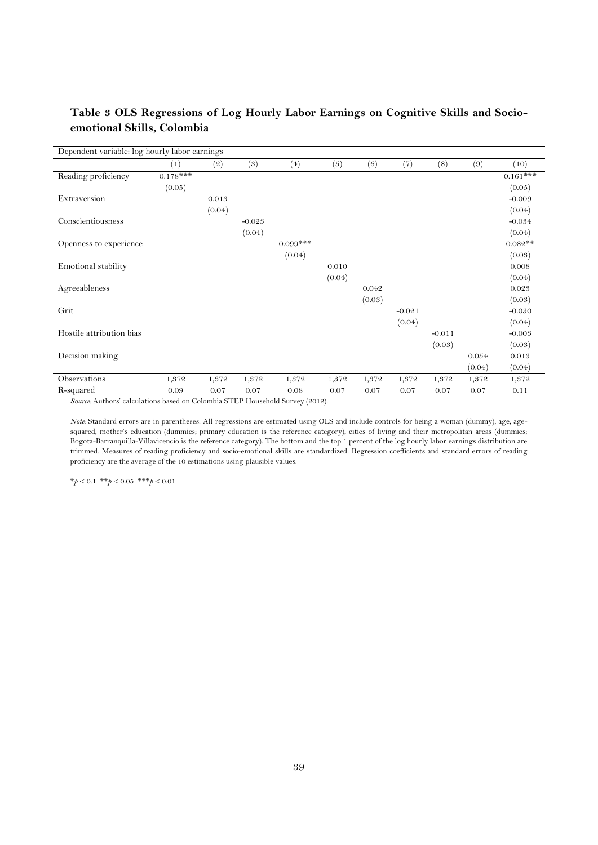| Dependent variable: log hourly labor earnings                                 |            |        |                  |            |        |        |          |          |        |             |
|-------------------------------------------------------------------------------|------------|--------|------------------|------------|--------|--------|----------|----------|--------|-------------|
|                                                                               | (1)        | (2)    | $\left(3\right)$ | (4)        | (5)    | (6)    | (7)      | (8)      | (9)    | (10)        |
| Reading proficiency                                                           | $0.178***$ |        |                  |            |        |        |          |          |        | $0.161$ *** |
|                                                                               | (0.05)     |        |                  |            |        |        |          |          |        | (0.05)      |
| Extraversion                                                                  |            | 0.013  |                  |            |        |        |          |          |        | $-0.009$    |
|                                                                               |            | (0.04) |                  |            |        |        |          |          |        | (0.04)      |
| Conscientiousness                                                             |            |        | $-0.023$         |            |        |        |          |          |        | $-0.034$    |
|                                                                               |            |        | (0.04)           |            |        |        |          |          |        | (0.04)      |
| Openness to experience                                                        |            |        |                  | $0.099***$ |        |        |          |          |        | $0.082**$   |
|                                                                               |            |        |                  | (0.04)     |        |        |          |          |        | (0.03)      |
| Emotional stability                                                           |            |        |                  |            | 0.010  |        |          |          |        | 0.008       |
|                                                                               |            |        |                  |            | (0.04) |        |          |          |        | (0.04)      |
| Agreeableness                                                                 |            |        |                  |            |        | 0.042  |          |          |        | 0.023       |
|                                                                               |            |        |                  |            |        | (0.03) |          |          |        | (0.03)      |
| Grit                                                                          |            |        |                  |            |        |        | $-0.021$ |          |        | $-0.030$    |
|                                                                               |            |        |                  |            |        |        | (0.04)   |          |        | (0.04)      |
| Hostile attribution bias                                                      |            |        |                  |            |        |        |          | $-0.011$ |        | $-0.003$    |
|                                                                               |            |        |                  |            |        |        |          | (0.03)   |        | (0.03)      |
| Decision making                                                               |            |        |                  |            |        |        |          |          | 0.054  | 0.013       |
|                                                                               |            |        |                  |            |        |        |          |          | (0.04) | (0.04)      |
| Observations                                                                  | 1,372      | 1,372  | 1,372            | 1,372      | 1,372  | 1,372  | 1,372    | 1,372    | 1,372  | 1,372       |
| R-squared                                                                     | 0.09       | 0.07   | 0.07             | 0.08       | 0.07   | 0.07   | 0.07     | 0.07     | 0.07   | 0.11        |
| Source: Authors' calculations based on Colombia STEP Household Survey (2012). |            |        |                  |            |        |        |          |          |        |             |

# **Table 3 OLS Regressions of Log Hourly Labor Earnings on Cognitive Skills and Socioemotional Skills, Colombia**

*Note:* Standard errors are in parentheses. All regressions are estimated using OLS and include controls for being a woman (dummy), age, agesquared, mother's education (dummies; primary education is the reference category), cities of living and their metropolitan areas (dummies; Bogota-Barranquilla-Villavicencio is the reference category). The bottom and the top 1 percent of the log hourly labor earnings distribution are trimmed. Measures of reading proficiency and socio-emotional skills are standardized. Regression coefficients and standard errors of reading proficiency are the average of the 10 estimations using plausible values.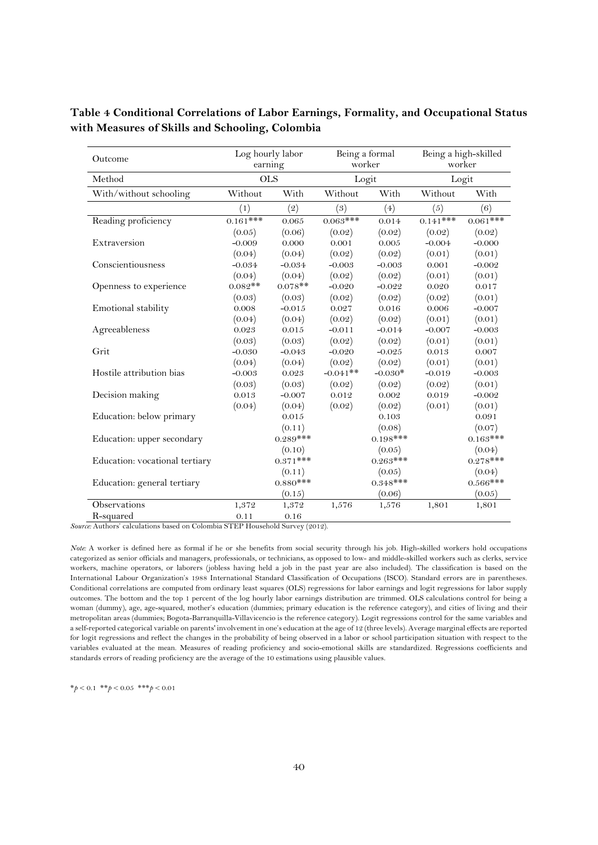| Outcome                        | Log hourly labor<br>earning |            |            | Being a formal<br>worker | Being a high-skilled<br>worker |            |  |
|--------------------------------|-----------------------------|------------|------------|--------------------------|--------------------------------|------------|--|
| Method                         |                             | <b>OLS</b> |            | Logit                    | Logit                          |            |  |
| With/without schooling         | Without                     | With       | Without    | With                     | Without                        | With       |  |
|                                | (1)                         | (2)        | (3)        | (4)                      | (5)                            | (6)        |  |
| Reading proficiency            | $0.161***$                  | $0.065\,$  | $0.063***$ | 0.014                    | $0.141***$                     | $0.061***$ |  |
|                                | (0.05)                      | (0.06)     | (0.02)     | (0.02)                   | (0.02)                         | (0.02)     |  |
| Extraversion                   | $-0.009$                    | 0.000      | 0.001      | 0.005                    | $-0.004$                       | $-0.000$   |  |
|                                | (0.04)                      | (0.04)     | (0.02)     | (0.02)                   | (0.01)                         | (0.01)     |  |
| Conscientiousness              | $-0.034$                    | $-0.034$   | $-0.003$   | $-0.003$                 | 0.001                          | $-0.002$   |  |
|                                | (0.04)                      | (0.04)     | (0.02)     | (0.02)                   | (0.01)                         | (0.01)     |  |
| Openness to experience         | $0.082**$                   | $0.078**$  | $-0.020$   | $-0.022$                 | 0.020                          | 0.017      |  |
|                                | (0.03)                      | (0.03)     | (0.02)     | (0.02)                   | (0.02)                         | (0.01)     |  |
| Emotional stability            | 0.008                       | $-0.015$   | 0.027      | 0.016                    | 0.006                          | $-0.007$   |  |
|                                | (0.04)                      | (0.04)     | (0.02)     | (0.02)                   | (0.01)                         | (0.01)     |  |
| Agreeableness                  | 0.023                       | 0.015      | $-0.011$   | $-0.014$                 | $-0.007$                       | $-0.003$   |  |
|                                | (0.03)                      | (0.03)     | (0.02)     | (0.02)                   | (0.01)                         | (0.01)     |  |
| Grit                           | $-0.030$                    | $-0.043$   | $-0.020$   | $-0.025$                 | 0.013                          | 0.007      |  |
|                                | (0.04)                      | (0.04)     | (0.02)     | (0.02)                   | (0.01)                         | (0.01)     |  |
| Hostile attribution bias       | $-0.003$                    | 0.023      | $-0.041**$ | $-0.030*$                | $-0.019$                       | $-0.003$   |  |
|                                | (0.03)                      | (0.03)     | (0.02)     | (0.02)                   | (0.02)                         | (0.01)     |  |
| Decision making                | 0.013                       | $-0.007$   | 0.012      | 0.002                    | 0.019                          | $-0.002$   |  |
|                                | (0.04)                      | (0.04)     | (0.02)     | (0.02)                   | (0.01)                         | (0.01)     |  |
| Education: below primary       |                             | 0.015      |            | 0.103                    |                                | 0.091      |  |
|                                |                             | (0.11)     |            | (0.08)                   |                                | (0.07)     |  |
| Education: upper secondary     |                             | $0.289***$ |            | $0.198***$               |                                | $0.163***$ |  |
|                                |                             | (0.10)     |            | (0.05)                   |                                | (0.04)     |  |
| Education: vocational tertiary |                             | $0.371***$ |            | $0.263***$               |                                | $0.278***$ |  |
|                                |                             | (0.11)     |            | (0.05)                   |                                | (0.04)     |  |
| Education: general tertiary    |                             | $0.880***$ |            | $0.348***$               |                                | $0.566***$ |  |
|                                |                             | (0.15)     |            | (0.06)                   |                                | (0.05)     |  |
| Observations                   | 1,372                       | 1,372      | 1,576      | 1,576                    | 1,801                          | 1,801      |  |
| R-squared                      | 0.11                        | 0.16       |            |                          |                                |            |  |

**Table 4 Conditional Correlations of Labor Earnings, Formality, and Occupational Status with Measures of Skills and Schooling, Colombia** 

*Source:* Authors' calculations based on Colombia STEP Household Survey (2012).

*Note:* A worker is defined here as formal if he or she benefits from social security through his job. High-skilled workers hold occupations categorized as senior officials and managers, professionals, or technicians, as opposed to low- and middle-skilled workers such as clerks, service workers, machine operators, or laborers (jobless having held a job in the past year are also included). The classification is based on the International Labour Organization's 1988 International Standard Classification of Occupations (ISCO). Standard errors are in parentheses. Conditional correlations are computed from ordinary least squares (OLS) regressions for labor earnings and logit regressions for labor supply outcomes. The bottom and the top 1 percent of the log hourly labor earnings distribution are trimmed. OLS calculations control for being a woman (dummy), age, age-squared, mother's education (dummies; primary education is the reference category), and cities of living and their metropolitan areas (dummies; Bogota-Barranquilla-Villavicencio is the reference category). Logit regressions control for the same variables and a self-reported categorical variable on parents' involvement in one's education at the age of 12 (three levels). Average marginal effects are reported for logit regressions and reflect the changes in the probability of being observed in a labor or school participation situation with respect to the variables evaluated at the mean. Measures of reading proficiency and socio-emotional skills are standardized. Regressions coefficients and standards errors of reading proficiency are the average of the 10 estimations using plausible values.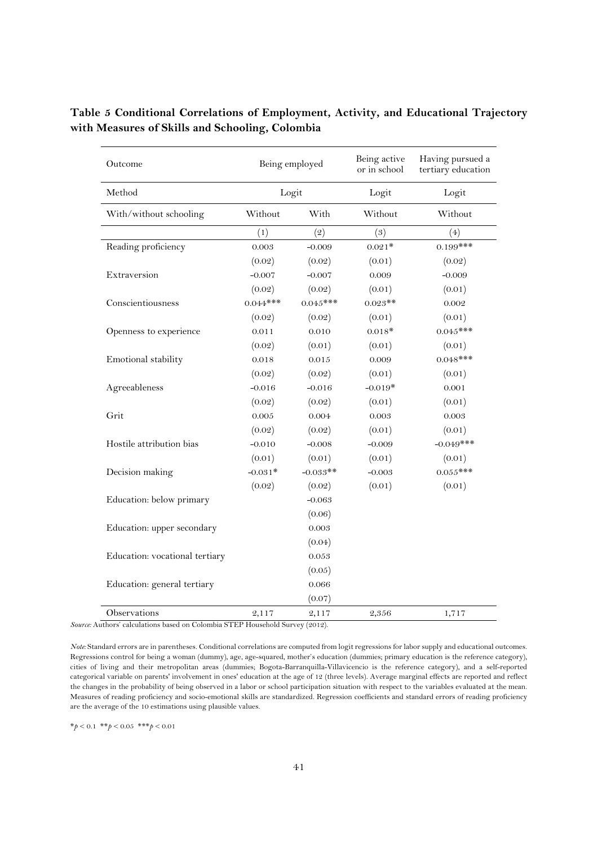| Outcome                        | Being employed |            | Being active<br>or in school | Having pursued a<br>tertiary education |
|--------------------------------|----------------|------------|------------------------------|----------------------------------------|
| Method                         |                | Logit      | Logit                        | Logit                                  |
| With/without schooling         | Without        | With       | Without                      | Without                                |
|                                | (1)            | (2)        | (3)                          | (4)                                    |
| Reading proficiency            | 0.003          | $-0.009$   | $0.021*$                     | $0.199***$                             |
|                                | (0.02)         | (0.02)     | (0.01)                       | (0.02)                                 |
| Extraversion                   | $-0.007$       | $-0.007$   | 0.009                        | $-0.009$                               |
|                                | (0.02)         | (0.02)     | (0.01)                       | (0.01)                                 |
| Conscientiousness              | $0.044***$     | $0.045***$ | $0.023**$                    | 0.002                                  |
|                                | (0.02)         | (0.02)     | (0.01)                       | (0.01)                                 |
| Openness to experience         | 0.011          | 0.010      | $0.018*$                     | $0.045***$                             |
|                                | (0.02)         | (0.01)     | (0.01)                       | (0.01)                                 |
| Emotional stability            | 0.018          | 0.015      | 0.009                        | $0.048***$                             |
|                                | (0.02)         | (0.02)     | (0.01)                       | (0.01)                                 |
| Agreeableness                  | $-0.016$       | $-0.016$   | $-0.019*$                    | 0.001                                  |
|                                | (0.02)         | (0.02)     | (0.01)                       | (0.01)                                 |
| Grit                           | 0.005          | 0.004      | 0.003                        | 0.003                                  |
|                                | (0.02)         | (0.02)     | (0.01)                       | (0.01)                                 |
| Hostile attribution bias       | $-0.010$       | $-0.008$   | $-0.009$                     | $-0.049$ ***                           |
|                                | (0.01)         | (0.01)     | (0.01)                       | (0.01)                                 |
| Decision making                | $-0.031*$      | $-0.033**$ | $-0.003$                     | $0.055***$                             |
|                                | (0.02)         | (0.02)     | (0.01)                       | (0.01)                                 |
| Education: below primary       |                | $-0.063$   |                              |                                        |
|                                |                | (0.06)     |                              |                                        |
| Education: upper secondary     |                | 0.003      |                              |                                        |
|                                |                | (0.04)     |                              |                                        |
| Education: vocational tertiary |                | 0.053      |                              |                                        |
|                                |                | (0.05)     |                              |                                        |
| Education: general tertiary    |                | 0.066      |                              |                                        |
|                                |                | (0.07)     |                              |                                        |
| Observations                   | 2,117          | 2,117      | 2,356                        | 1,717                                  |

**Table 5 Conditional Correlations of Employment, Activity, and Educational Trajectory with Measures of Skills and Schooling, Colombia** 

*Source:* Authors' calculations based on Colombia STEP Household Survey (2012).

*Note:* Standard errors are in parentheses. Conditional correlations are computed from logit regressions for labor supply and educational outcomes. Regressions control for being a woman (dummy), age, age-squared, mother's education (dummies; primary education is the reference category), cities of living and their metropolitan areas (dummies; Bogota-Barranquilla-Villavicencio is the reference category), and a self-reported categorical variable on parents' involvement in ones' education at the age of 12 (three levels). Average marginal effects are reported and reflect the changes in the probability of being observed in a labor or school participation situation with respect to the variables evaluated at the mean. Measures of reading proficiency and socio-emotional skills are standardized. Regression coefficients and standard errors of reading proficiency are the average of the 10 estimations using plausible values.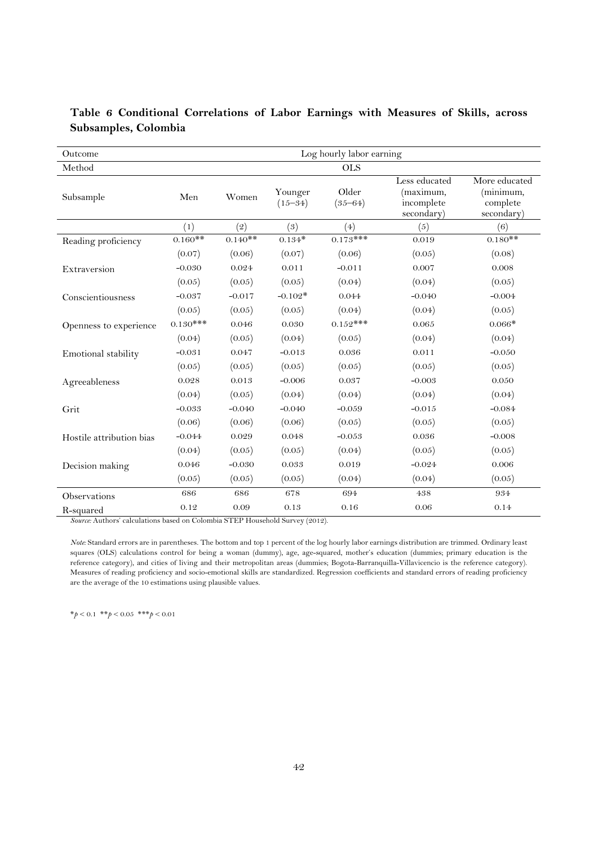| Outcome                  |            |            |                        | Log hourly labor earning |                                                        |                                                      |  |  |  |
|--------------------------|------------|------------|------------------------|--------------------------|--------------------------------------------------------|------------------------------------------------------|--|--|--|
| Method                   |            | <b>OLS</b> |                        |                          |                                                        |                                                      |  |  |  |
| Subsample                | Men        | Women      | Younger<br>$(15 - 34)$ | Older<br>$(35 - 64)$     | Less educated<br>(maximum,<br>incomplete<br>secondary) | More educated<br>(minimum,<br>complete<br>secondary) |  |  |  |
|                          | (1)        | (2)        | (3)                    | (4)                      | (5)                                                    | (6)                                                  |  |  |  |
| Reading proficiency      | $0.160**$  | $0.140**$  | $0.134*$               | $0.173***$               | 0.019                                                  | $0.180**$                                            |  |  |  |
|                          | (0.07)     | (0.06)     | (0.07)                 | (0.06)                   | (0.05)                                                 | (0.08)                                               |  |  |  |
| Extraversion             | $-0.030$   | 0.024      | 0.011                  | $-0.011$                 | 0.007                                                  | 0.008                                                |  |  |  |
|                          | (0.05)     | (0.05)     | (0.05)                 | (0.04)                   | (0.04)                                                 | (0.05)                                               |  |  |  |
| Conscientiousness        | $-0.037$   | $-0.017$   | $-0.102*$              | 0.044                    | $-0.040$                                               | $-0.004$                                             |  |  |  |
|                          | (0.05)     | (0.05)     | (0.05)                 | (0.04)                   | (0.04)                                                 | (0.05)                                               |  |  |  |
| Openness to experience   | $0.130***$ | 0.046      | 0.030                  | $0.152***$               | 0.065                                                  | $0.066*$                                             |  |  |  |
|                          | (0.04)     | (0.05)     | (0.04)                 | (0.05)                   | (0.04)                                                 | (0.04)                                               |  |  |  |
| Emotional stability      | $-0.031$   | 0.047      | $-0.013$               | 0.036                    | 0.011                                                  | $-0.050$                                             |  |  |  |
|                          | (0.05)     | (0.05)     | (0.05)                 | (0.05)                   | (0.05)                                                 | (0.05)                                               |  |  |  |
| Agreeableness            | 0.028      | 0.013      | $-0.006$               | 0.037                    | $-0.003$                                               | 0.050                                                |  |  |  |
|                          | (0.04)     | (0.05)     | (0.04)                 | (0.04)                   | (0.04)                                                 | (0.04)                                               |  |  |  |
| Grit                     | $-0.033$   | $-0.040$   | $-0.040$               | $-0.059$                 | $-0.015$                                               | $-0.084$                                             |  |  |  |
|                          | (0.06)     | (0.06)     | (0.06)                 | (0.05)                   | (0.05)                                                 | (0.05)                                               |  |  |  |
| Hostile attribution bias | $-0.044$   | 0.029      | 0.048                  | $-0.053$                 | 0.036                                                  | $-0.008$                                             |  |  |  |
|                          | (0.04)     | (0.05)     | (0.05)                 | (0.04)                   | (0.05)                                                 | (0.05)                                               |  |  |  |
| Decision making          | 0.046      | $-0.030$   | 0.033                  | 0.019                    | $-0.024$                                               | 0.006                                                |  |  |  |
|                          | (0.05)     | (0.05)     | (0.05)                 | (0.04)                   | (0.04)                                                 | (0.05)                                               |  |  |  |
| Observations             | 686        | 686        | 678                    | 694                      | 438                                                    | 934                                                  |  |  |  |
| R-squared                | 0.12       | 0.09       | 0.13                   | 0.16                     | 0.06                                                   | 0.14                                                 |  |  |  |

# **Table 6 Conditional Correlations of Labor Earnings with Measures of Skills, across Subsamples, Colombia**

*Source:* Authors' calculations based on Colombia STEP Household Survey (2012).

*Note:* Standard errors are in parentheses. The bottom and top 1 percent of the log hourly labor earnings distribution are trimmed. Ordinary least squares (OLS) calculations control for being a woman (dummy), age, age-squared, mother's education (dummies; primary education is the reference category), and cities of living and their metropolitan areas (dummies; Bogota-Barranquilla-Villavicencio is the reference category). Measures of reading proficiency and socio-emotional skills are standardized. Regression coefficients and standard errors of reading proficiency are the average of the 10 estimations using plausible values.

\**p* < 0.1 \*\**p* < 0.05 \*\*\**p* < 0.01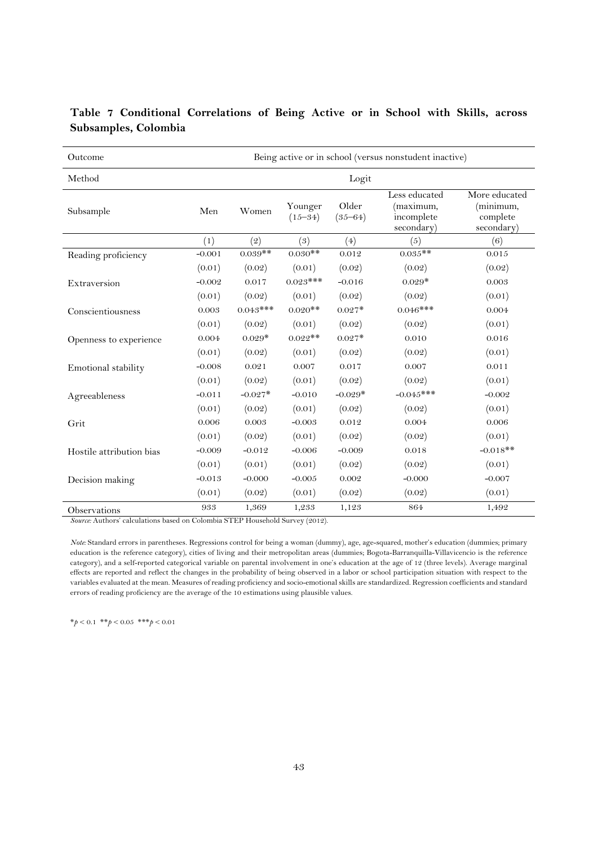| Outcome                  | Being active or in school (versus nonstudent inactive) |            |                        |                      |                                                        |                                                      |  |  |
|--------------------------|--------------------------------------------------------|------------|------------------------|----------------------|--------------------------------------------------------|------------------------------------------------------|--|--|
| Method                   | Logit                                                  |            |                        |                      |                                                        |                                                      |  |  |
| Subsample                | Men                                                    | Women      | Younger<br>$(15 - 34)$ | Older<br>$(35 - 64)$ | Less educated<br>(maximum,<br>incomplete<br>secondary) | More educated<br>(minimum,<br>complete<br>secondary) |  |  |
|                          | (1)                                                    | (2)        | (3)                    | (4)                  | (5)                                                    | (6)                                                  |  |  |
| Reading proficiency      | $-0.001$                                               | $0.039**$  | $0.030**$              | 0.012                | $0.035**$                                              | 0.015                                                |  |  |
|                          | (0.01)                                                 | (0.02)     | (0.01)                 | (0.02)               | (0.02)                                                 | (0.02)                                               |  |  |
| Extraversion             | $-0.002$                                               | 0.017      | $0.023***$             | $-0.016$             | $0.029*$                                               | 0.003                                                |  |  |
|                          | (0.01)                                                 | (0.02)     | (0.01)                 | (0.02)               | (0.02)                                                 | (0.01)                                               |  |  |
| Conscientiousness        | 0.003                                                  | $0.043***$ | $0.020**$              | $0.027*$             | $0.046***$                                             | 0.004                                                |  |  |
|                          | (0.01)                                                 | (0.02)     | (0.01)                 | (0.02)               | (0.02)                                                 | (0.01)                                               |  |  |
| Openness to experience   | 0.004                                                  | $0.029*$   | $0.022$ **             | $0.027*$             | 0.010                                                  | 0.016                                                |  |  |
|                          | (0.01)                                                 | (0.02)     | (0.01)                 | (0.02)               | (0.02)                                                 | (0.01)                                               |  |  |
| Emotional stability      | $-0.008$                                               | 0.021      | 0.007                  | 0.017                | 0.007                                                  | 0.011                                                |  |  |
|                          | (0.01)                                                 | (0.02)     | (0.01)                 | (0.02)               | (0.02)                                                 | (0.01)                                               |  |  |
| Agreeableness            | $-0.011$                                               | $-0.027*$  | $-0.010$               | $-0.029*$            | $-0.045***$                                            | $-0.002$                                             |  |  |
|                          | (0.01)                                                 | (0.02)     | (0.01)                 | (0.02)               | (0.02)                                                 | (0.01)                                               |  |  |
| Grit                     | 0.006                                                  | 0.003      | $-0.003$               | 0.012                | 0.004                                                  | 0.006                                                |  |  |
|                          | (0.01)                                                 | (0.02)     | (0.01)                 | (0.02)               | (0.02)                                                 | (0.01)                                               |  |  |
| Hostile attribution bias | $-0.009$                                               | $-0.012$   | $-0.006$               | $-0.009$             | 0.018                                                  | $-0.018**$                                           |  |  |
|                          | (0.01)                                                 | (0.01)     | (0.01)                 | (0.02)               | (0.02)                                                 | (0.01)                                               |  |  |
| Decision making          | $-0.013$                                               | $-0.000$   | $-0.005$               | 0.002                | $-0.000$                                               | $-0.007$                                             |  |  |
|                          | (0.01)                                                 | (0.02)     | (0.01)                 | (0.02)               | (0.02)                                                 | (0.01)                                               |  |  |
| Observations             | 933                                                    | 1,369      | 1,233                  | 1,123                | 864                                                    | 1,492                                                |  |  |

# **Table 7 Conditional Correlations of Being Active or in School with Skills, across Subsamples, Colombia**

*Source:* Authors' calculations based on Colombia STEP Household Survey (2012).

*Note:* Standard errors in parentheses. Regressions control for being a woman (dummy), age, age-squared, mother's education (dummies; primary education is the reference category), cities of living and their metropolitan areas (dummies; Bogota-Barranquilla-Villavicencio is the reference category), and a self-reported categorical variable on parental involvement in one's education at the age of 12 (three levels). Average marginal effects are reported and reflect the changes in the probability of being observed in a labor or school participation situation with respect to the variables evaluated at the mean. Measures of reading proficiency and socio-emotional skills are standardized. Regression coefficients and standard errors of reading proficiency are the average of the 10 estimations using plausible values.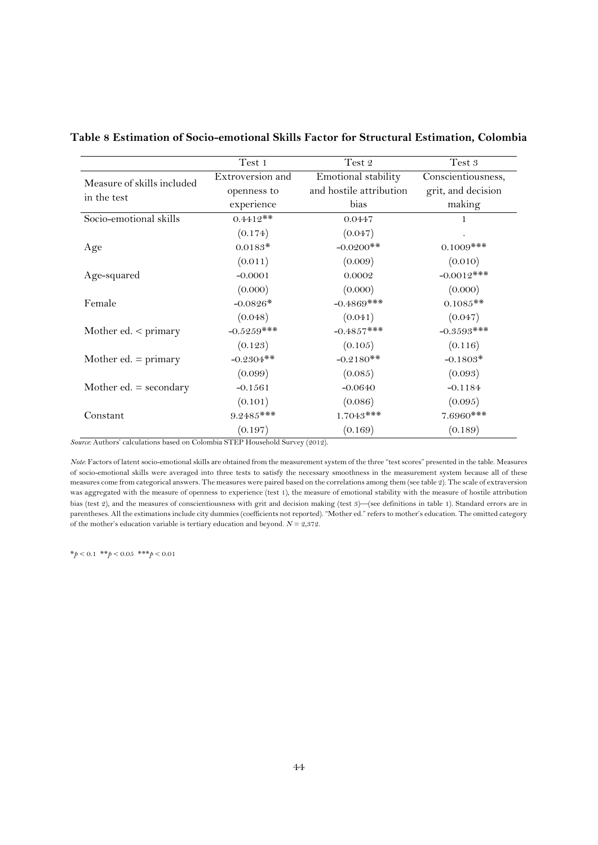|                                                                                       | Test 1           | Test 2                  | Test 3             |
|---------------------------------------------------------------------------------------|------------------|-------------------------|--------------------|
| Measure of skills included                                                            | Extroversion and | Emotional stability     | Conscientiousness, |
| in the test                                                                           | openness to      | and hostile attribution | grit, and decision |
|                                                                                       | experience       | bias                    | making             |
| Socio-emotional skills                                                                | $0.4412**$       | 0.0447                  | 1                  |
|                                                                                       | (0.174)          | (0.047)                 |                    |
| Age                                                                                   | $0.0183*$        | $-0.0200$ **            | $0.1009$ ***       |
|                                                                                       | (0.011)          | (0.009)                 | (0.010)            |
| Age-squared                                                                           | $-0.0001$        | 0.0002                  | $-0.0012$ ***      |
|                                                                                       | (0.000)          | (0.000)                 | (0.000)            |
| Female                                                                                | $-0.0826*$       | $-0.4869$ ***           | $0.1085**$         |
|                                                                                       | (0.048)          | (0.041)                 | (0.047)            |
| Mother ed. $\lt$ primary                                                              | $-0.5259***$     | $-0.4857***$            | $-0.3593$ ***      |
|                                                                                       | (0.123)          | (0.105)                 | (0.116)            |
| Mother ed. $=$ primary                                                                | $-0.2304**$      | $-0.2180**$             | $-0.1803*$         |
|                                                                                       | (0.099)          | (0.085)                 | (0.093)            |
| Mother ed. $=$ secondary                                                              | $-0.1561$        | $-0.0640$               | $-0.1184$          |
|                                                                                       | (0.101)          | (0.086)                 | (0.095)            |
| Constant                                                                              | $9.2485***$      | $1.7043***$             | $7.6960$ ***       |
| $\Lambda$ and any coloration to be added $\Lambda$ dentity of FRD H and all $\Lambda$ | (0.197)          | (0.169)<br>(0.010)      | (0.189)            |

**Table 8 Estimation of Socio-emotional Skills Factor for Structural Estimation, Colombia** 

*Source:* Authors' calculations based on Colombia STEP Household Survey (2012).

*Note*: Factors of latent socio-emotional skills are obtained from the measurement system of the three "test scores" presented in the table. Measures of socio-emotional skills were averaged into three tests to satisfy the necessary smoothness in the measurement system because all of these measures come from categorical answers. The measures were paired based on the correlations among them (see table 2). The scale of extraversion was aggregated with the measure of openness to experience (test 1), the measure of emotional stability with the measure of hostile attribution bias (test 2), and the measures of conscientiousness with grit and decision making (test 3)—(see definitions in table 1). Standard errors are in parentheses. All the estimations include city dummies (coefficients not reported). "Mother ed." refers to mother's education. The omitted category of the mother's education variable is tertiary education and beyond.  $N = 2,372$ .

\**p* < 0.1 \*\**p* < 0.05 \*\*\**p* < 0.01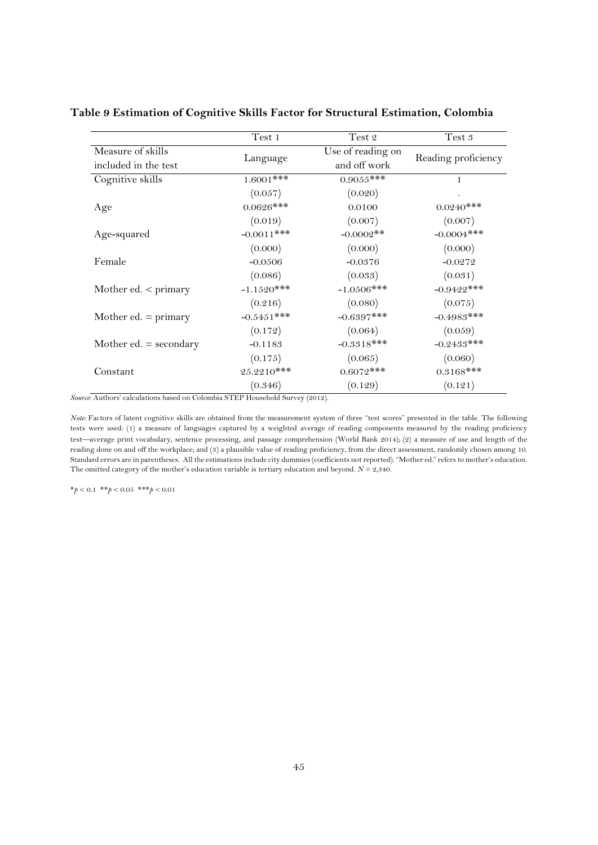|                          | Test 1        | Test 2            | Test 3              |
|--------------------------|---------------|-------------------|---------------------|
| Measure of skills        |               | Use of reading on |                     |
| included in the test     | Language      | and off work      | Reading proficiency |
| Cognitive skills         | $1.6001$ ***  | $0.9055$ ***      | 1                   |
|                          | (0.057)       | (0.020)           |                     |
| Age                      | $0.0626$ ***  | 0.0100            | $0.0240***$         |
|                          | (0.019)       | (0.007)           | (0.007)             |
| Age-squared              | $-0.0011$ *** | $-0.0002**$       | $-0.0004$ ***       |
|                          | (0.000)       | (0.000)           | (0.000)             |
| Female                   | $-0.0506$     | $-0.0376$         | $-0.0272$           |
|                          | (0.086)       | (0.033)           | (0.031)             |
| Mother ed. $\lt$ primary | $-1.1520$ *** | $-1.0506$ ***     | $-0.9422***$        |
|                          | (0.216)       | (0.080)           | (0.075)             |
| Mother ed. $=$ primary   | $-0.5451$ *** | $-0.6397***$      | $-0.4983$ ***       |
|                          | (0.172)       | (0.064)           | (0.059)             |
| Mother ed. $=$ secondary | $-0.1183$     | $-0.3318***$      | $-0.2433***$        |
|                          | (0.175)       | (0.065)           | (0.060)             |
| Constant                 | $25.2210***$  | $0.6072$ ***      | $0.3168$ ***        |
|                          | (0.346)       | (0.129)           | (0.121)             |

#### **Table 9 Estimation of Cognitive Skills Factor for Structural Estimation, Colombia**

*Source*: Authors' calculations based on Colombia STEP Household Survey (2012).

*Note:* Factors of latent cognitive skills are obtained from the measurement system of three "test scores" presented in the table. The following tests were used: (1) a measure of languages captured by a weighted average of reading components measured by the reading proficiency test—average print vocabulary, sentence processing, and passage comprehension (World Bank 2014); (2) a measure of use and length of the reading done on and off the workplace; and (3) a plausible value of reading proficiency, from the direct assessment, randomly chosen among 10. Standard errors are in parentheses. All the estimations include city dummies (coefficients not reported). "Mother ed." refers to mother's education. The omitted category of the mother's education variable is tertiary education and beyond.  $N = 2,340$ .

\**p* < 0.1 \*\**p* < 0.05 \*\*\**p* < 0.01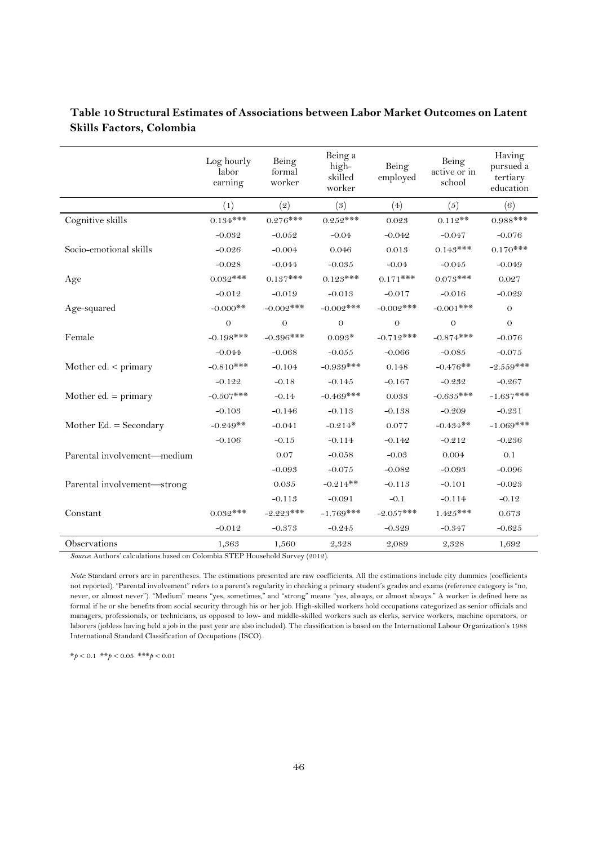|                             | Log hourly<br>labor<br>earning | Being<br>formal<br>worker | Being a<br>high-<br>skilled<br>worker | Being<br>employed | Being<br>active or in<br>school | Having<br>pursued a<br>tertiary<br>education |
|-----------------------------|--------------------------------|---------------------------|---------------------------------------|-------------------|---------------------------------|----------------------------------------------|
|                             | (1)                            | (2)                       | (3)                                   | (4)               | (5)                             | (6)                                          |
| Cognitive skills            | $0.134***$                     | $0.276***$                | $0.252***$                            | 0.023             | $0.112**$                       | $0.988***$                                   |
|                             | $-0.032$                       | $-0.052$                  | $-0.04$                               | $-0.042$          | $-0.047$                        | $-0.076$                                     |
| Socio-emotional skills      | $-0.026$                       | $-0.004$                  | 0.046                                 | 0.013             | $0.143***$                      | $0.170***$                                   |
|                             | $-0.028$                       | $-0.044$                  | $-0.035$                              | $-0.04$           | $-0.045$                        | $-0.049$                                     |
| Age                         | $0.032***$                     | $0.137***$                | $0.123***$                            | $0.171***$        | $0.073***$                      | 0.027                                        |
|                             | $-0.012$                       | $-0.019$                  | $-0.013$                              | $-0.017$          | $-0.016$                        | $-0.029$                                     |
| Age-squared                 | $-0.000$ **                    | $-0.002$ ***              | $-0.002$ ***                          | $-0.002$ ***      | $-0.001$ ***                    | $\theta$                                     |
|                             | $\Omega$                       | $\overline{O}$            | $\theta$                              | $\Omega$          | $\theta$                        | $\theta$                                     |
| Female                      | $-0.198***$                    | $-0.396***$               | $0.093*$                              | $-0.712***$       | $-0.874***$                     | $-0.076$                                     |
|                             | $-0.044$                       | $-0.068$                  | $-0.055$                              | $-0.066$          | $-0.085$                        | $-0.075$                                     |
| Mother ed. $<$ primary      | $-0.810***$                    | $-0.104$                  | $-0.939***$                           | 0.148             | $-0.476**$                      | $-2.559***$                                  |
|                             | $-0.122$                       | $-0.18$                   | $-0.145$                              | $-0.167$          | $-0.232$                        | $-0.267$                                     |
| Mother ed. $=$ primary      | $-0.507$ ***                   | $-0.14$                   | $-0.469$ ***                          | 0.033             | $-0.635***$                     | $-1.637***$                                  |
|                             | $-0.103$                       | $-0.146$                  | $-0.113$                              | $-0.138$          | $-0.209$                        | $-0.231$                                     |
| Mother Ed. $=$ Secondary    | $-0.249**$                     | $-0.041$                  | $-0.214*$                             | 0.077             | $-0.434**$                      | $-1.069$ ***                                 |
|                             | $-0.106$                       | $-0.15$                   | $-0.114$                              | $-0.142$          | $-0.212$                        | $-0.236$                                     |
| Parental involvement-medium |                                | 0.07                      | $-0.058$                              | $-0.03$           | 0.004                           | 0.1                                          |
|                             |                                | $-0.093$                  | $-0.075$                              | $-0.082$          | $-0.093$                        | $-0.096$                                     |
| Parental involvement-strong |                                | 0.035                     | $-0.214**$                            | $-0.113$          | $-0.101$                        | $-0.023$                                     |
|                             |                                | $-0.113$                  | $-0.091$                              | $-0.1$            | $-0.114$                        | $-0.12$                                      |
| Constant                    | $0.032***$                     | $-2.223***$               | $-1.769***$                           | $-2.057***$       | $1.425***$                      | 0.673                                        |
|                             | $-0.012$                       | $-0.373$                  | $-0.245$                              | $-0.329$          | $-0.347$                        | $-0.625$                                     |
| Observations                | 1,363                          | 1,560                     | 2,328                                 | 2,089             | 2,328                           | 1,692                                        |

# **Table 10 Structural Estimates of Associations between Labor Market Outcomes on Latent Skills Factors, Colombia**

*Source*: Authors' calculations based on Colombia STEP Household Survey (2012).

*Note:* Standard errors are in parentheses. The estimations presented are raw coefficients. All the estimations include city dummies (coefficients not reported). "Parental involvement" refers to a parent's regularity in checking a primary student's grades and exams (reference category is "no, never, or almost never"). "Medium" means "yes, sometimes," and "strong" means "yes, always, or almost always." A worker is defined here as formal if he or she benefits from social security through his or her job. High-skilled workers hold occupations categorized as senior officials and managers, professionals, or technicians, as opposed to low- and middle-skilled workers such as clerks, service workers, machine operators, or laborers (jobless having held a job in the past year are also included). The classification is based on the International Labour Organization's 1988 International Standard Classification of Occupations (ISCO).